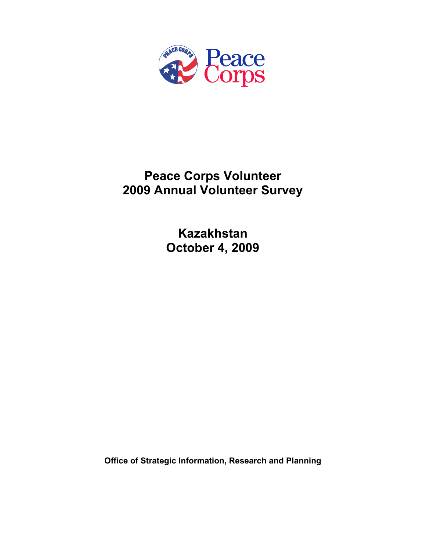

# **Peace Corps Volunteer 2009 Annual Volunteer Survey**

**Kazakhstan October 4, 2009** 

**Office of Strategic Information, Research and Planning**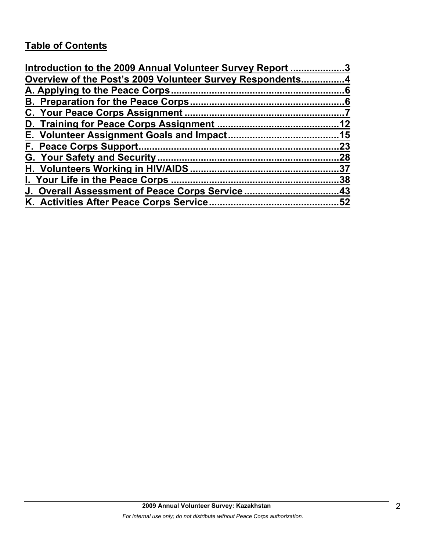# **Table of Contents**

| Introduction to the 2009 Annual Volunteer Survey Report 3 |     |
|-----------------------------------------------------------|-----|
| Overview of the Post's 2009 Volunteer Survey Respondents4 |     |
|                                                           |     |
|                                                           |     |
|                                                           |     |
|                                                           |     |
|                                                           |     |
|                                                           | .23 |
|                                                           |     |
|                                                           |     |
|                                                           |     |
| J. Overall Assessment of Peace Corps Service43            |     |
|                                                           |     |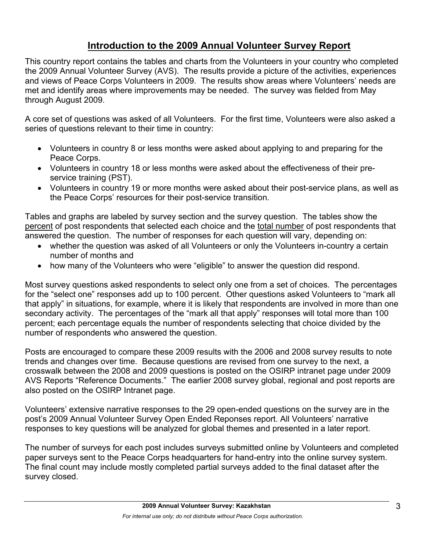# **Introduction to the 2009 Annual Volunteer Survey Report**

This country report contains the tables and charts from the Volunteers in your country who completed the 2009 Annual Volunteer Survey (AVS). The results provide a picture of the activities, experiences and views of Peace Corps Volunteers in 2009. The results show areas where Volunteers' needs are met and identify areas where improvements may be needed. The survey was fielded from May through August 2009.

A core set of questions was asked of all Volunteers. For the first time, Volunteers were also asked a series of questions relevant to their time in country:

- Volunteers in country 8 or less months were asked about applying to and preparing for the Peace Corps.
- Volunteers in country 18 or less months were asked about the effectiveness of their preservice training (PST).
- Volunteers in country 19 or more months were asked about their post-service plans, as well as the Peace Corps' resources for their post-service transition.

Tables and graphs are labeled by survey section and the survey question. The tables show the percent of post respondents that selected each choice and the total number of post respondents that answered the question. The number of responses for each question will vary, depending on:

- whether the question was asked of all Volunteers or only the Volunteers in-country a certain number of months and
- how many of the Volunteers who were "eligible" to answer the question did respond.

Most survey questions asked respondents to select only one from a set of choices. The percentages for the "select one" responses add up to 100 percent. Other questions asked Volunteers to "mark all that apply" in situations, for example, where it is likely that respondents are involved in more than one secondary activity. The percentages of the "mark all that apply" responses will total more than 100 percent; each percentage equals the number of respondents selecting that choice divided by the number of respondents who answered the question.

Posts are encouraged to compare these 2009 results with the 2006 and 2008 survey results to note trends and changes over time. Because questions are revised from one survey to the next, a crosswalk between the 2008 and 2009 questions is posted on the OSIRP intranet page under 2009 AVS Reports "Reference Documents." The earlier 2008 survey global, regional and post reports are also posted on the OSIRP Intranet page.

Volunteers' extensive narrative responses to the 29 open-ended questions on the survey are in the post's 2009 Annual Volunteer Survey Open Ended Reponses report. All Volunteers' narrative responses to key questions will be analyzed for global themes and presented in a later report.

The number of surveys for each post includes surveys submitted online by Volunteers and completed paper surveys sent to the Peace Corps headquarters for hand-entry into the online survey system. The final count may include mostly completed partial surveys added to the final dataset after the survey closed.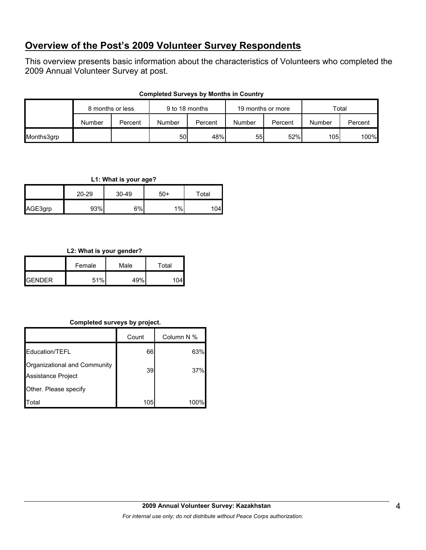# **Overview of the Post's 2009 Volunteer Survey Respondents**

This overview presents basic information about the characteristics of Volunteers who completed the 2009 Annual Volunteer Survey at post.

| <b>Completed Surveys by Months in Country</b> |  |  |  |  |
|-----------------------------------------------|--|--|--|--|
|-----------------------------------------------|--|--|--|--|

|            | 8 months or less |         | 9 to 18 months |         | 19 months or more |         | Total  |         |
|------------|------------------|---------|----------------|---------|-------------------|---------|--------|---------|
|            | Number           | Percent | Number         | Percent | Number            | Percent | Number | Percent |
| Months3grp |                  |         | 50             | 48%     | 55                | 52%     | 105    | 100%    |

**L1: What is your age?**

|         | 20-29 | $30 - 49$ | $50+$ | Total |
|---------|-------|-----------|-------|-------|
| AGE3grp | 93%   | $6\%$     | 1%    | 104   |

### **L2: What is your gender?**

|                | Female | Male | Total |  |
|----------------|--------|------|-------|--|
| <b>IGENDER</b> | 51%    | 49%l |       |  |

### **Completed surveys by project.**

|                                                    | Count | Column N % |
|----------------------------------------------------|-------|------------|
| <b>Education/TEFL</b>                              | 66    | 63%        |
| Organizational and Community<br>Assistance Project | 39    | 37%        |
| Other. Please specify                              |       |            |
| ʻotal                                              | 105   | 100°       |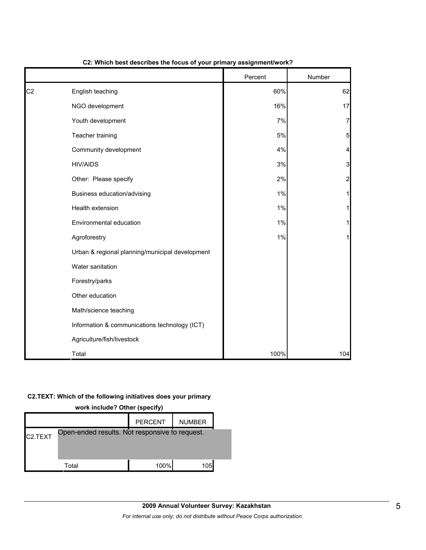|    |                                                 | Percent | Number                  |
|----|-------------------------------------------------|---------|-------------------------|
| C2 | English teaching                                | 60%     | 62                      |
|    | NGO development                                 | 16%     | 17                      |
|    | Youth development                               | 7%      | $\overline{7}$          |
|    | Teacher training                                | 5%      | 5                       |
|    | Community development                           | 4%      | 4                       |
|    | <b>HIV/AIDS</b>                                 | 3%      | 3                       |
|    | Other: Please specify                           | 2%      | $\overline{\mathbf{c}}$ |
|    | Business education/advising                     | 1%      | 1                       |
|    | Health extension                                | 1%      | 1                       |
|    | Environmental education                         | 1%      | 1                       |
|    | Agroforestry                                    | 1%      | 1                       |
|    | Urban & regional planning/municipal development |         |                         |
|    | Water sanitation                                |         |                         |
|    | Forestry/parks                                  |         |                         |
|    | Other education                                 |         |                         |
|    | Math/science teaching                           |         |                         |
|    | Information & communications technology (ICT)   |         |                         |
|    | Agriculture/fish/livestock                      |         |                         |
|    | Total                                           | 100%    | 104                     |

### **C2: Which best describes the focus of your primary assignment/work?**

#### **C2.TEXT: Which of the following initiatives does your primary**

| work include? Other (specify)                                          |       |      |     |  |  |  |  |
|------------------------------------------------------------------------|-------|------|-----|--|--|--|--|
| <b>PERCENT</b><br><b>NUMBER</b>                                        |       |      |     |  |  |  |  |
| Open-ended results. Not responsive to request.<br>C <sub>2</sub> .TEXT |       |      |     |  |  |  |  |
|                                                                        | Total | 100% | 105 |  |  |  |  |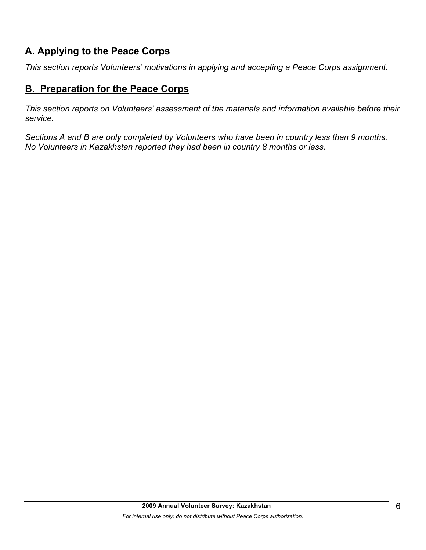# **A. Applying to the Peace Corps**

*This section reports Volunteers' motivations in applying and accepting a Peace Corps assignment.* 

# **B. Preparation for the Peace Corps**

*This section reports on Volunteers' assessment of the materials and information available before their service.* 

*Sections A and B are only completed by Volunteers who have been in country less than 9 months. No Volunteers in Kazakhstan reported they had been in country 8 months or less.*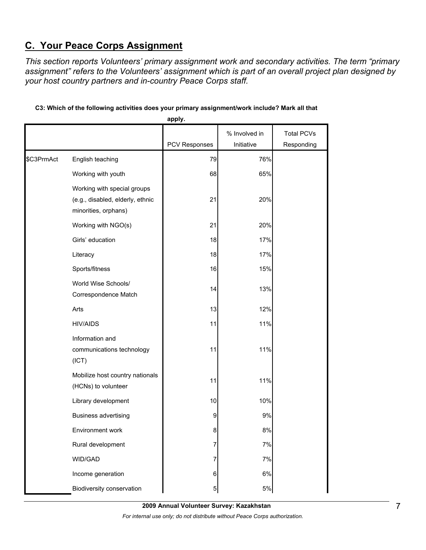# **C. Your Peace Corps Assignment**

*This section reports Volunteers' primary assignment work and secondary activities. The term "primary assignment" refers to the Volunteers' assignment which is part of an overall project plan designed by your host country partners and in-country Peace Corps staff.* 

|            |                                                                                         | apply.        |                             |                                 |
|------------|-----------------------------------------------------------------------------------------|---------------|-----------------------------|---------------------------------|
|            |                                                                                         | PCV Responses | % Involved in<br>Initiative | <b>Total PCVs</b><br>Responding |
| \$C3PrmAct | English teaching                                                                        | 79            | 76%                         |                                 |
|            | Working with youth                                                                      | 68            | 65%                         |                                 |
|            | Working with special groups<br>(e.g., disabled, elderly, ethnic<br>minorities, orphans) | 21            | 20%                         |                                 |
|            | Working with NGO(s)                                                                     | 21            | 20%                         |                                 |
|            | Girls' education                                                                        | 18            | 17%                         |                                 |
|            | Literacy                                                                                | 18            | 17%                         |                                 |
|            | Sports/fitness                                                                          | 16            | 15%                         |                                 |
|            | World Wise Schools/<br>Correspondence Match                                             | 14            | 13%                         |                                 |
|            | Arts                                                                                    | 13            | 12%                         |                                 |
|            | <b>HIV/AIDS</b>                                                                         | 11            | 11%                         |                                 |
|            | Information and<br>communications technology<br>(ICT)                                   | 11            | 11%                         |                                 |
|            | Mobilize host country nationals<br>(HCNs) to volunteer                                  | 11            | 11%                         |                                 |
|            | Library development                                                                     | 10            | 10%                         |                                 |
|            | <b>Business advertising</b>                                                             | 9             | 9%                          |                                 |
|            | Environment work                                                                        | 8             | 8%                          |                                 |
|            | Rural development                                                                       | 7             | 7%                          |                                 |
|            | WID/GAD                                                                                 | 7             | 7%                          |                                 |
|            | Income generation                                                                       | 6             | 6%                          |                                 |
|            | Biodiversity conservation                                                               | 5             | $5\%$                       |                                 |

### **C3: Which of the following activities does your primary assignment/work include? Mark all that**

**2009 Annual Volunteer Survey: Kazakhstan** 

*For internal use only; do not distribute without Peace Corps authorization.*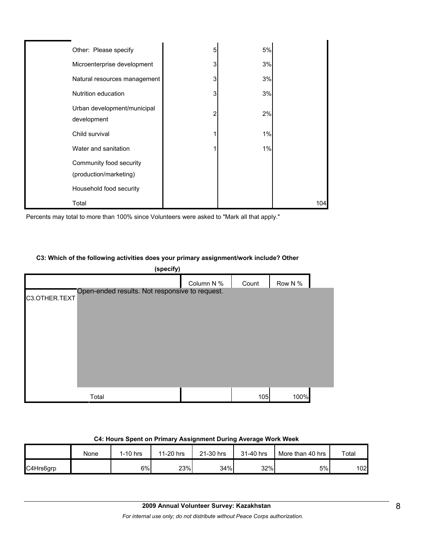| Other: Please specify                             | 5 | 5%    |     |
|---------------------------------------------------|---|-------|-----|
| Microenterprise development                       | 3 | 3%    |     |
| Natural resources management                      | 3 | 3%    |     |
| Nutrition education                               | 3 | 3%    |     |
| Urban development/municipal<br>development        | 2 | 2%    |     |
| Child survival                                    |   | $1\%$ |     |
| Water and sanitation                              |   | 1%    |     |
| Community food security<br>(production/marketing) |   |       |     |
| Household food security                           |   |       |     |
| Total                                             |   |       | 104 |

Percents may total to more than 100% since Volunteers were asked to "Mark all that apply."

#### **C3: Which of the following activities does your primary assignment/work include? Other**

| (specify)     |                                                |            |       |         |  |  |
|---------------|------------------------------------------------|------------|-------|---------|--|--|
|               |                                                | Column N % | Count | Row N % |  |  |
| C3.OTHER.TEXT | Open-ended results. Not responsive to request. |            |       |         |  |  |
|               | Total                                          |            | 105   | 100%    |  |  |

#### **C4: Hours Spent on Primary Assignment During Average Work Week**

|           | None | 1-10 hrs | 11-20 hrs | 21-30 hrs | 31-40 hrs | More than 40 hrs | Total |
|-----------|------|----------|-----------|-----------|-----------|------------------|-------|
| C4Hrs6grp |      | 6%       | 23%       | 34%       | 32%       | 5%               | 102   |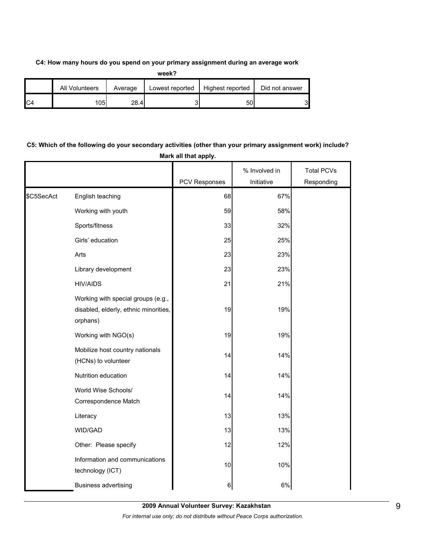#### **C4: How many hours do you spend on your primary assignment during an average work**

| ×<br>I<br>۰, |  |
|--------------|--|

|                | All Volunteers | Average | Lowest reported | Highest reported | Did not answer |
|----------------|----------------|---------|-----------------|------------------|----------------|
| C <sub>4</sub> | '051           | 28.4    |                 | 50               | C<br>ັ         |

## **C5: Which of the following do your secondary activities (other than your primary assignment work) include? Mark all that apply.**

|            |                                                                                         | <b>PCV Responses</b> | % Involved in<br>Initiative | <b>Total PCVs</b> |
|------------|-----------------------------------------------------------------------------------------|----------------------|-----------------------------|-------------------|
|            |                                                                                         |                      |                             | Responding        |
| \$C5SecAct | English teaching                                                                        | 68                   | 67%                         |                   |
|            | Working with youth                                                                      | 59                   | 58%                         |                   |
|            | Sports/fitness                                                                          | 33                   | 32%                         |                   |
|            | Girls' education                                                                        | 25                   | 25%                         |                   |
|            | Arts                                                                                    | 23                   | 23%                         |                   |
|            | Library development                                                                     | 23                   | 23%                         |                   |
|            | <b>HIV/AIDS</b>                                                                         | 21                   | 21%                         |                   |
|            | Working with special groups (e.g.,<br>disabled, elderly, ethnic minorities,<br>orphans) | 19                   | 19%                         |                   |
|            | Working with NGO(s)                                                                     | 19                   | 19%                         |                   |
|            | Mobilize host country nationals<br>(HCNs) to volunteer                                  | 14                   | 14%                         |                   |
|            | Nutrition education                                                                     | 14                   | 14%                         |                   |
|            | World Wise Schools/<br>Correspondence Match                                             | 14                   | 14%                         |                   |
|            | Literacy                                                                                | 13                   | 13%                         |                   |
|            | WID/GAD                                                                                 | 13                   | 13%                         |                   |
|            | Other: Please specify                                                                   | 12                   | 12%                         |                   |
|            | Information and communications<br>technology (ICT)                                      | 10                   | 10%                         |                   |
|            | <b>Business advertising</b>                                                             | 6                    | $6\%$                       |                   |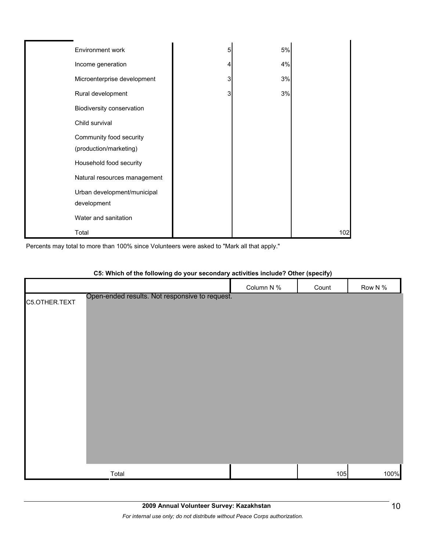| Environment work                                  | 5 | 5% |     |
|---------------------------------------------------|---|----|-----|
| Income generation                                 |   | 4% |     |
| Microenterprise development                       | 3 | 3% |     |
| Rural development                                 | 3 | 3% |     |
| Biodiversity conservation                         |   |    |     |
| Child survival                                    |   |    |     |
| Community food security<br>(production/marketing) |   |    |     |
| Household food security                           |   |    |     |
| Natural resources management                      |   |    |     |
| Urban development/municipal<br>development        |   |    |     |
| Water and sanitation                              |   |    |     |
| Total                                             |   |    | 102 |

Percents may total to more than 100% since Volunteers were asked to "Mark all that apply."

|               |                                                | Column N % | Count | Row N % |
|---------------|------------------------------------------------|------------|-------|---------|
| C5.OTHER.TEXT | Open-ended results. Not responsive to request. |            |       |         |
|               |                                                |            |       |         |
|               |                                                |            |       |         |
|               |                                                |            |       |         |
|               |                                                |            |       |         |
|               |                                                |            |       |         |
|               |                                                |            |       |         |
|               |                                                |            |       |         |
|               |                                                |            |       |         |
|               |                                                |            |       |         |
|               |                                                |            |       |         |
|               |                                                |            |       |         |
|               |                                                |            |       |         |
|               | Total                                          |            | 105   | 100%    |

### **C5: Which of the following do your secondary activities include? Other (specify)**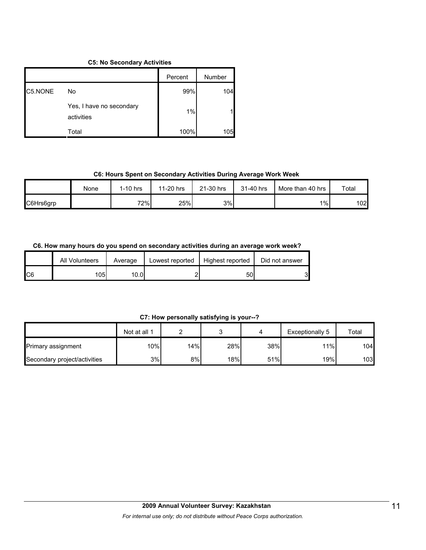#### **C5: No Secondary Activities**

|         |                                        | Percent | Number |
|---------|----------------------------------------|---------|--------|
| C5.NONE | No                                     | 99%     | 104    |
|         | Yes, I have no secondary<br>activities | 1%      |        |
|         | Total                                  | 100%    | 105    |

#### **C6: Hours Spent on Secondary Activities During Average Work Week**

|           | None | I-10 hrs | 11-20 hrs | 21-30 hrs | 31-40 hrs | More than 40 hrs | Total |
|-----------|------|----------|-----------|-----------|-----------|------------------|-------|
| C6Hrs6grp |      | 72%      | 25%       | 3%        |           | $1\%$            | 102   |

### **C6. How many hours do you spend on secondary activities during an average work week?**

|     | All Volunteers | Average | Lowest reported | Highest reported | Did not answer |
|-----|----------------|---------|-----------------|------------------|----------------|
| IC6 | 105            | 10.01   |                 | 50               | C<br>ບ         |

### **C7: How personally satisfying is your--?**

|                              | Not at all 1 |     |     |     | Exceptionally 5 | Total |
|------------------------------|--------------|-----|-----|-----|-----------------|-------|
| <b>Primary assignment</b>    | 10%          | 14% | 28% | 38% | 11%             | 104   |
| Secondary project/activities | 3%           | 8%l | 18% | 51% | 19%             | 103   |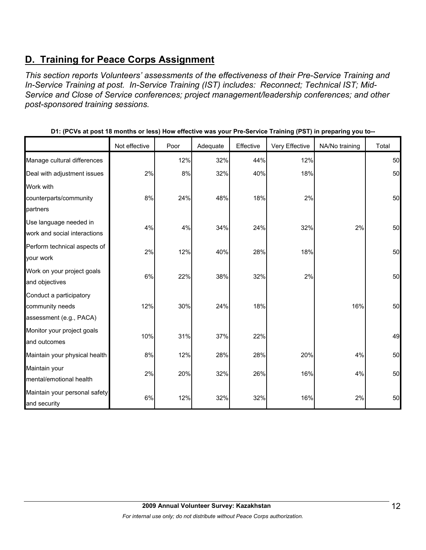# **D. Training for Peace Corps Assignment**

*This section reports Volunteers' assessments of the effectiveness of their Pre-Service Training and In-Service Training at post. In-Service Training (IST) includes: Reconnect; Technical IST; Mid-Service and Close of Service conferences; project management/leadership conferences; and other post-sponsored training sessions.* 

|                                                                       | Not effective | Poor | Adequate | Effective | Very Effective | NA/No training | Total |
|-----------------------------------------------------------------------|---------------|------|----------|-----------|----------------|----------------|-------|
| Manage cultural differences                                           |               | 12%  | 32%      | 44%       | 12%            |                | 50    |
| Deal with adjustment issues                                           | 2%            | 8%   | 32%      | 40%       | 18%            |                | 50    |
| Work with<br>counterparts/community<br>partners                       | 8%            | 24%  | 48%      | 18%       | 2%             |                | 50    |
| Use language needed in<br>work and social interactions                | 4%            | 4%   | 34%      | 24%       | 32%            | 2%             | 50    |
| Perform technical aspects of<br>your work                             | 2%            | 12%  | 40%      | 28%       | 18%            |                | 50    |
| Work on your project goals<br>and objectives                          | 6%            | 22%  | 38%      | 32%       | 2%             |                | 50    |
| Conduct a participatory<br>community needs<br>assessment (e.g., PACA) | 12%           | 30%  | 24%      | 18%       |                | 16%            | 50    |
| Monitor your project goals<br>and outcomes                            | 10%           | 31%  | 37%      | 22%       |                |                | 49    |
| Maintain your physical health                                         | 8%            | 12%  | 28%      | 28%       | 20%            | 4%             | 50    |
| Maintain your<br>mental/emotional health                              | 2%            | 20%  | 32%      | 26%       | 16%            | 4%             | 50    |
| Maintain your personal safety<br>and security                         | 6%            | 12%  | 32%      | 32%       | 16%            | 2%             | 50    |

**D1: (PCVs at post 18 months or less) How effective was your Pre-Service Training (PST) in preparing you to--**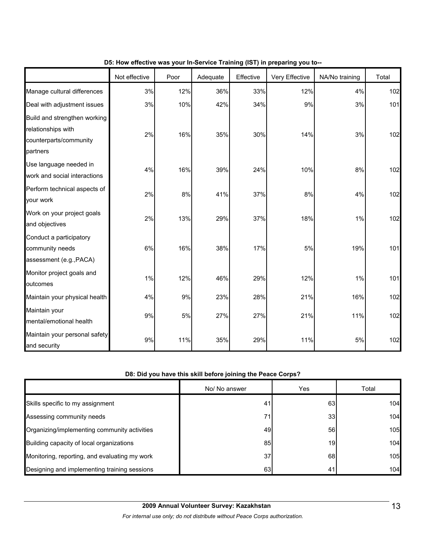|                                                                                          | Not effective | Poor | Adequate | Effective | Very Effective | NA/No training | Total |
|------------------------------------------------------------------------------------------|---------------|------|----------|-----------|----------------|----------------|-------|
| Manage cultural differences                                                              | 3%            | 12%  | 36%      | 33%       | 12%            | 4%             | 102   |
| Deal with adjustment issues                                                              | 3%            | 10%  | 42%      | 34%       | 9%             | 3%             | 101   |
| Build and strengthen working<br>relationships with<br>counterparts/community<br>partners | 2%            | 16%  | 35%      | 30%       | 14%            | 3%             | 102   |
| Use language needed in<br>work and social interactions                                   | 4%            | 16%  | 39%      | 24%       | 10%            | 8%             | 102   |
| Perform technical aspects of<br>your work                                                | 2%            | 8%   | 41%      | 37%       | 8%             | 4%             | 102   |
| Work on your project goals<br>and objectives                                             | 2%            | 13%  | 29%      | 37%       | 18%            | 1%             | 102   |
| Conduct a participatory<br>community needs<br>assessment (e.g., PACA)                    | 6%            | 16%  | 38%      | 17%       | 5%             | 19%            | 101   |
| Monitor project goals and<br>outcomes                                                    | 1%            | 12%  | 46%      | 29%       | 12%            | 1%             | 101   |
| Maintain your physical health                                                            | 4%            | 9%   | 23%      | 28%       | 21%            | 16%            | 102   |
| Maintain your<br>mental/emotional health                                                 | 9%            | 5%   | 27%      | 27%       | 21%            | 11%            | 102   |
| Maintain your personal safety<br>and security                                            | $9\%$         | 11%  | 35%      | 29%       | 11%            | 5%             | 102   |

### **D5: How effective was your In-Service Training (IST) in preparing you to--**

### **D8: Did you have this skill before joining the Peace Corps?**

|                                               | No/ No answer | Yes | Total |
|-----------------------------------------------|---------------|-----|-------|
| Skills specific to my assignment              | 41            | 63  | 104   |
| Assessing community needs                     | 71            | 33  | 104   |
| Organizing/implementing community activities  | 49            | 56  | 105   |
| Building capacity of local organizations      | 85            | 19  | 104   |
| Monitoring, reporting, and evaluating my work | 37            | 68  | 105   |
| Designing and implementing training sessions  | 63            | 41  | 104   |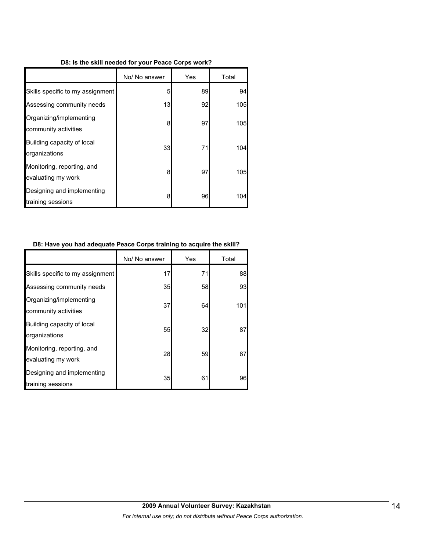#### **D8: Is the skill needed for your Peace Corps work?**

|                                                  | No/ No answer | Yes | Total |
|--------------------------------------------------|---------------|-----|-------|
| Skills specific to my assignment                 | 5             | 89  | 94    |
| Assessing community needs                        | 13            | 92  | 105   |
| Organizing/implementing<br>community activities  | 8             | 97  | 105   |
| Building capacity of local<br>organizations      | 33            | 71  | 104   |
| Monitoring, reporting, and<br>evaluating my work | 8             | 97  | 105   |
| Designing and implementing<br>training sessions  | 8             | 96  | 104   |

#### **D8: Have you had adequate Peace Corps training to acquire the skill?**

|                                                  | No/ No answer | Yes | Total |
|--------------------------------------------------|---------------|-----|-------|
| Skills specific to my assignment                 | 17            | 71  | 88    |
| Assessing community needs                        | 35            | 58  | 93    |
| Organizing/implementing<br>community activities  | 37            | 64  | 101   |
| Building capacity of local<br>organizations      | 55            | 32  | 87    |
| Monitoring, reporting, and<br>evaluating my work | 28            | 59  | 87    |
| Designing and implementing<br>training sessions  | 35            | 61  | 96    |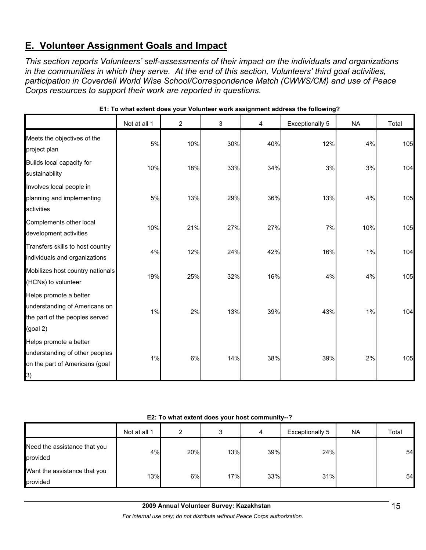# **E. Volunteer Assignment Goals and Impact**

*This section reports Volunteers' self-assessments of their impact on the individuals and organizations in the communities in which they serve. At the end of this section, Volunteers' third goal activities, participation in Coverdell World Wise School/Correspondence Match (CWWS/CM) and use of Peace Corps resources to support their work are reported in questions.* 

|                                                                                                          | Not at all 1 | $\overline{2}$ | 3   | 4   | <b>Exceptionally 5</b> | <b>NA</b> | Total |
|----------------------------------------------------------------------------------------------------------|--------------|----------------|-----|-----|------------------------|-----------|-------|
| Meets the objectives of the<br>project plan                                                              | 5%           | 10%            | 30% | 40% | 12%                    | 4%        | 105   |
| Builds local capacity for<br>sustainability                                                              | 10%          | 18%            | 33% | 34% | 3%                     | 3%        | 104   |
| Involves local people in<br>planning and implementing<br>activities                                      | 5%           | 13%            | 29% | 36% | 13%                    | 4%        | 105   |
| Complements other local<br>development activities                                                        | 10%          | 21%            | 27% | 27% | 7%                     | 10%       | 105   |
| Transfers skills to host country<br>individuals and organizations                                        | 4%           | 12%            | 24% | 42% | 16%                    | 1%        | 104   |
| Mobilizes host country nationals<br>(HCNs) to volunteer                                                  | 19%          | 25%            | 32% | 16% | 4%                     | 4%        | 105   |
| Helps promote a better<br>understanding of Americans on<br>the part of the peoples served<br>$(g$ oal 2) | 1%           | 2%             | 13% | 39% | 43%                    | 1%        | 104   |
| Helps promote a better<br>understanding of other peoples<br>on the part of Americans (goal<br> 3)        | 1%           | 6%             | 14% | 38% | 39%                    | 2%        | 105   |

**E1: To what extent does your Volunteer work assignment address the following?**

### **E2: To what extent does your host community--?**

|                                          | Not at all 1 | າ   |     | 4   | Exceptionally 5 | <b>NA</b> | Total |
|------------------------------------------|--------------|-----|-----|-----|-----------------|-----------|-------|
| Need the assistance that you<br>provided | 4%           | 20% | 13% | 39% | 24%             |           | 54    |
| Want the assistance that you<br>provided | 13%          | 6%  | 17% | 33% | 31%             |           | 54    |

*For internal use only; do not distribute without Peace Corps authorization.*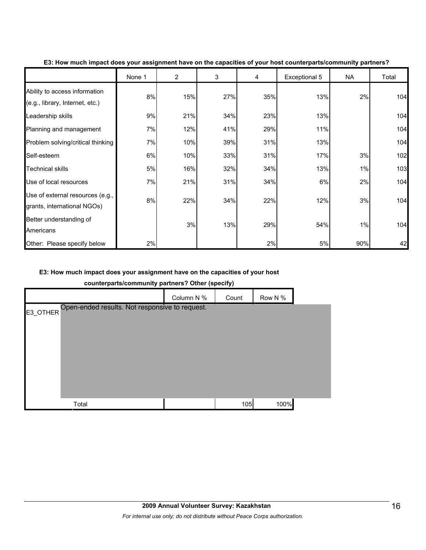|                                                                  | None 1 | $\overline{2}$ | 3   | 4   | Exceptional 5 | <b>NA</b> | Total |
|------------------------------------------------------------------|--------|----------------|-----|-----|---------------|-----------|-------|
| Ability to access information<br>(e.g., library, Internet, etc.) | 8%     | 15%            | 27% | 35% | 13%           | 2%        | 104   |
| Leadership skills                                                | 9%     | 21%            | 34% | 23% | 13%           |           | 104   |
| Planning and management                                          | 7%     | 12%            | 41% | 29% | 11%           |           | 104   |
| Problem solving/critical thinking                                | 7%     | 10%            | 39% | 31% | 13%           |           | 104   |
| Self-esteem                                                      | 6%     | 10%            | 33% | 31% | 17%           | 3%        | 102   |
| Technical skills                                                 | 5%     | 16%            | 32% | 34% | 13%           | 1%        | 103   |
| Use of local resources                                           | 7%     | 21%            | 31% | 34% | 6%            | 2%        | 104   |
| Use of external resources (e.g.,<br>grants, international NGOs)  | 8%     | 22%            | 34% | 22% | 12%           | 3%        | 104   |
| Better understanding of<br>Americans                             |        | 3%             | 13% | 29% | 54%           | 1%        | 104   |
| Other: Please specify below                                      | 2%     |                |     | 2%  | 5%            | 90%       | 42    |

#### **E3: How much impact does your assignment have on the capacities of your host counterparts/community partners?**

### **E3: How much impact does your assignment have on the capacities of your host**

**counterparts/community partners? Other (specify)**

|                                                            | . .        | . .   |         |
|------------------------------------------------------------|------------|-------|---------|
|                                                            | Column N % | Count | Row N % |
| Open-ended results. Not responsive to request.<br>E3_OTHER |            |       |         |
| Total                                                      |            | 105   | 100%    |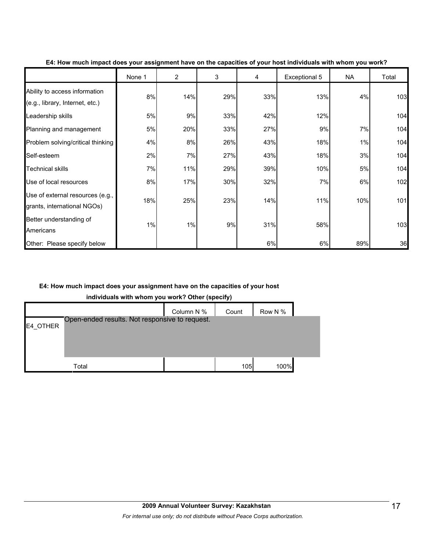|                                                                  | None 1 | $\overline{2}$ | 3   | 4   | Exceptional 5 | <b>NA</b> | Total |
|------------------------------------------------------------------|--------|----------------|-----|-----|---------------|-----------|-------|
| Ability to access information<br>(e.g., library, Internet, etc.) | 8%     | 14%            | 29% | 33% | 13%           | 4%        | 103   |
| Leadership skills                                                | 5%     | 9%             | 33% | 42% | 12%           |           | 104   |
| Planning and management                                          | 5%     | 20%            | 33% | 27% | 9%            | 7%        | 104   |
| Problem solving/critical thinking                                | 4%     | 8%             | 26% | 43% | 18%           | 1%        | 104   |
| Self-esteem                                                      | 2%     | 7%             | 27% | 43% | 18%           | 3%        | 104   |
| Technical skills                                                 | 7%     | 11%            | 29% | 39% | 10%           | 5%        | 104   |
| Use of local resources                                           | 8%     | 17%            | 30% | 32% | 7%            | 6%        | 102   |
| Use of external resources (e.g.,<br>grants, international NGOs)  | 18%    | 25%            | 23% | 14% | 11%           | 10%       | 101   |
| Better understanding of<br>Americans                             | 1%     | 1%             | 9%  | 31% | 58%           |           | 103   |
| Other: Please specify below                                      |        |                |     | 6%  | 6%            | 89%       | 36    |

#### **E4: How much impact does your assignment have on the capacities of your host individuals with whom you work?**

### **E4: How much impact does your assignment have on the capacities of your host**

**individuals with whom you work? Other (specify)**

|          |                                                | Column N % | Count | Row N % |  |
|----------|------------------------------------------------|------------|-------|---------|--|
| E4 OTHER | Open-ended results. Not responsive to request. |            |       |         |  |
|          |                                                |            |       |         |  |
|          |                                                |            |       |         |  |
|          | Total                                          |            | 105   | 100%    |  |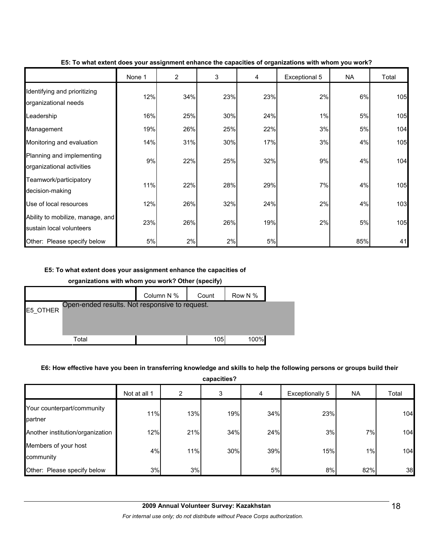|                                                              | None 1 | $\overline{2}$ | 3   | 4   | Exceptional 5 | <b>NA</b> | Total |
|--------------------------------------------------------------|--------|----------------|-----|-----|---------------|-----------|-------|
| Identifying and prioritizing<br>organizational needs         | 12%    | 34%            | 23% | 23% | 2%            | 6%        | 105   |
| Leadership                                                   | 16%    | 25%            | 30% | 24% | $1\%$         | 5%        | 105   |
| Management                                                   | 19%    | 26%            | 25% | 22% | 3%            | 5%        | 104   |
| Monitoring and evaluation                                    | 14%    | 31%            | 30% | 17% | 3%            | 4%        | 105   |
| Planning and implementing<br>organizational activities       | 9%     | 22%            | 25% | 32% | 9%            | 4%        | 104   |
| Teamwork/participatory<br>decision-making                    | 11%    | 22%            | 28% | 29% | 7%            | 4%        | 105   |
| Use of local resources                                       | 12%    | 26%            | 32% | 24% | 2%            | 4%        | 103   |
| Ability to mobilize, manage, and<br>sustain local volunteers | 23%    | 26%            | 26% | 19% | 2%            | 5%        | 105   |
| Other: Please specify below                                  | 5%     | 2%             | 2%  | 5%  |               | 85%       | 41    |

#### **E5: To what extent does your assignment enhance the capacities of organizations with whom you work?**

### **E5: To what extent does your assignment enhance the capacities of**

#### **organizations with whom you work? Other (specify)**

|          |                                                | Column N % | Count | Row N % |  |
|----------|------------------------------------------------|------------|-------|---------|--|
| E5 OTHER | Open-ended results. Not responsive to request. |            |       |         |  |
|          |                                                |            |       |         |  |
|          | Total                                          |            | 105   | 100%    |  |

### **E6: How effective have you been in transferring knowledge and skills to help the following persons or groups build their**

**capacities?**

| ,,,,,,,,,,,,,                         |              |     |     |     |                        |           |       |  |  |
|---------------------------------------|--------------|-----|-----|-----|------------------------|-----------|-------|--|--|
|                                       | Not at all 1 | 2   | 3   | 4   | <b>Exceptionally 5</b> | <b>NA</b> | Total |  |  |
| Your counterpart/community<br>partner | 11%          | 13% | 19% | 34% | 23%                    |           | 104   |  |  |
| Another institution/organization      | 12%          | 21% | 34% | 24% | 3%                     | 7%        | 104   |  |  |
| Members of your host<br>community     | 4%           | 11% | 30% | 39% | 15%                    | 1%        | 104   |  |  |
| Other: Please specify below           | 3%           | 3%  |     | 5%  | 8%                     | 82%       | 38    |  |  |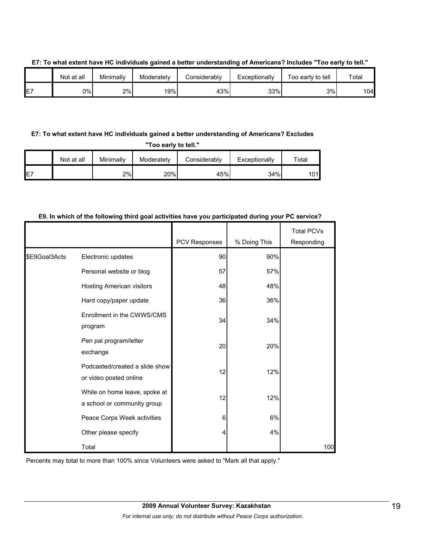|    | Not at all | Minimally | Moderately | ا Considerably | Exceptionally | Too early to tell | Total |
|----|------------|-----------|------------|----------------|---------------|-------------------|-------|
| E7 | 0%l        | 2%        | 19%        | 43%            | 33%           | 3%l               | 104   |

#### **E7: To what extent have HC individuals gained a better understanding of Americans? Includes "Too early to tell."**

### **E7: To what extent have HC individuals gained a better understanding of Americans? Excludes**

**"Too early to tell."**

|    | Not at all | Minimallv | Moderately | Considerably | Exceptionally | ™otal |
|----|------------|-----------|------------|--------------|---------------|-------|
| E7 |            | 2%        | 20%        | 45%          | 34%           | 101l  |

# PCV Responses | % Doing This Total PCVs Responding Electronic updates **190 and 1991** 90% Personal website or blog 57 57% Hosting American visitors **1988** 48 48% Hard copy/paper update **1988** 36 36% Enrollment in the CWWS/CMS program 34 34% Pen pal program/letter exchange 20 20% Podcasted/created a slide show or video posted online 12 12% While on home leave, spoke at a school or community group 12 12% Peace Corps Week activities and the corps of  $\frac{6}{10}$  6% Other please specify 4 4% \$E9Goal3Acts Total 100 and 100 and 100 and 100 and 100 and 100 and 100 and 100 and 100 and 100 and 100 and 100 and 100 and 1

### **E9. In which of the following third goal activities have you participated during your PC service?**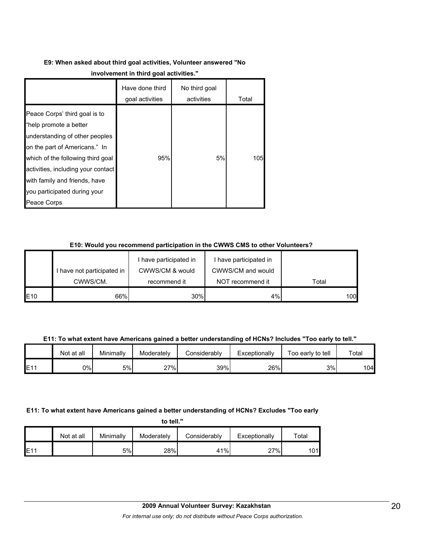# **E9: When asked about third goal activities, Volunteer answered "No**

|                                                                                                                                                                                                                                                                                       | Have done third<br>goal activities | No third goal<br>activities | Total |
|---------------------------------------------------------------------------------------------------------------------------------------------------------------------------------------------------------------------------------------------------------------------------------------|------------------------------------|-----------------------------|-------|
| Peace Corps' third goal is to<br>"help promote a better<br>understanding of other peoples<br>on the part of Americans." In<br>which of the following third goal<br>activities, including your contact<br>with family and friends, have<br>you participated during your<br>Peace Corps | 95%                                | 5%                          | 105   |

### **E10: Would you recommend participation in the CWWS CMS to other Volunteers?**

|     |                            | I have participated in | I have participated in |       |
|-----|----------------------------|------------------------|------------------------|-------|
|     | I have not participated in | CWWS/CM & would        | CWWS/CM and would      |       |
|     | CWWS/CM.                   | recommend it           | NOT recommend it       | Total |
| E10 | 66%                        | 30%                    | 4%                     | 100   |

**E11: To what extent have Americans gained a better understanding of HCNs? Includes "Too early to tell."**

|     | Not at all | Minimally | Moderately | Considerably | Exceptionally | Too early to tell | Total |
|-----|------------|-----------|------------|--------------|---------------|-------------------|-------|
| E11 | 0%         | 5%        | 27%        | 39%          | 26%           | 3%                | 104l  |

## **E11: To what extent have Americans gained a better understanding of HCNs? Excludes "Too early**

**to tell."**

|                 | Not at all | Minimally | Moderately | Considerably | Exceptionally | ™otal |
|-----------------|------------|-----------|------------|--------------|---------------|-------|
| E1 <sup>4</sup> |            | 5%        | 28%        | 41%          | 27%           | 01    |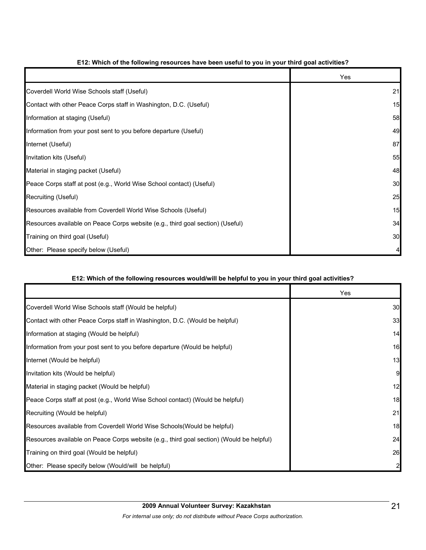|                                                                                | Yes |
|--------------------------------------------------------------------------------|-----|
| Coverdell World Wise Schools staff (Useful)                                    | 21  |
| Contact with other Peace Corps staff in Washington, D.C. (Useful)              | 15  |
| Information at staging (Useful)                                                | 58  |
| Information from your post sent to you before departure (Useful)               | 49  |
| Internet (Useful)                                                              | 87  |
| Invitation kits (Useful)                                                       | 55  |
| Material in staging packet (Useful)                                            | 48  |
| Peace Corps staff at post (e.g., World Wise School contact) (Useful)           | 30  |
| Recruiting (Useful)                                                            | 25  |
| Resources available from Coverdell World Wise Schools (Useful)                 | 15  |
| Resources available on Peace Corps website (e.g., third goal section) (Useful) | 34  |
| Training on third goal (Useful)                                                | 30  |
| Other: Please specify below (Useful)                                           |     |

### **E12: Which of the following resources have been useful to you in your third goal activities?**

### **E12: Which of the following resources would/will be helpful to you in your third goal activities?**

|                                                                                          | Yes |
|------------------------------------------------------------------------------------------|-----|
| Coverdell World Wise Schools staff (Would be helpful)                                    | 30  |
| Contact with other Peace Corps staff in Washington, D.C. (Would be helpful)              | 33  |
| Information at staging (Would be helpful)                                                | 14  |
| Information from your post sent to you before departure (Would be helpful)               | 16  |
| Internet (Would be helpful)                                                              | 13  |
| Invitation kits (Would be helpful)                                                       | 9   |
| Material in staging packet (Would be helpful)                                            | 12  |
| Peace Corps staff at post (e.g., World Wise School contact) (Would be helpful)           | 18  |
| Recruiting (Would be helpful)                                                            | 21  |
| Resources available from Coverdell World Wise Schools (Would be helpful)                 | 18  |
| Resources available on Peace Corps website (e.g., third goal section) (Would be helpful) | 24  |
| Training on third goal (Would be helpful)                                                | 26  |
| Other: Please specify below (Would/will be helpful)                                      |     |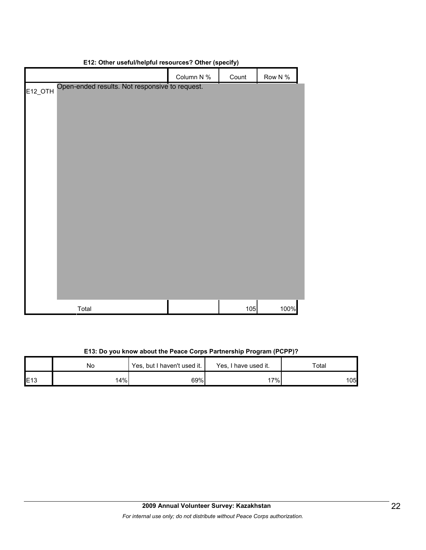|                                                | Column N % | Count | Row N % |
|------------------------------------------------|------------|-------|---------|
| Open-ended results. Not responsive to request. |            |       |         |
| <b>E12_OTH</b>                                 |            |       |         |
|                                                |            |       |         |
|                                                |            |       |         |
|                                                |            |       |         |
|                                                |            |       |         |
|                                                |            |       |         |
|                                                |            |       |         |
|                                                |            |       |         |
|                                                |            |       |         |
|                                                |            |       |         |
|                                                |            |       |         |
|                                                |            |       |         |
|                                                |            |       |         |
|                                                |            |       |         |
|                                                |            |       |         |
|                                                |            |       |         |
|                                                |            |       |         |
|                                                |            |       |         |
|                                                |            |       |         |
| Total                                          |            | 105   | 100%    |

### **E12: Other useful/helpful resources? Other (specify)**

|  | E13: Do you know about the Peace Corps Partnership Program (PCPP)? |
|--|--------------------------------------------------------------------|
|--|--------------------------------------------------------------------|

|     | No | Yes, but I haven't used it. | Yes, I have used it. | Total |
|-----|----|-----------------------------|----------------------|-------|
| E13 | 4% | 69%                         | $7\%$                | 105   |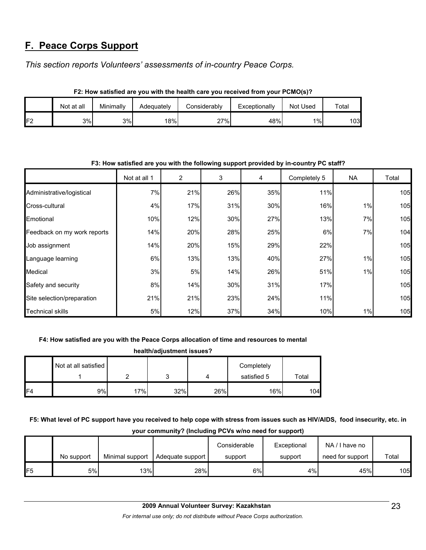# **F. Peace Corps Support**

*This section reports Volunteers' assessments of in-country Peace Corps.* 

|                | Not at all | Minimallv | Adeguatelv | Considerably | Exceptionally | Not Used | Total |  |
|----------------|------------|-----------|------------|--------------|---------------|----------|-------|--|
| F <sub>2</sub> | 3%I        | 3%        | 18%        | 27%          | 48%           | $1\%$    | 103   |  |

**F2: How satisfied are you with the health care you received from your PCMO(s)?**

| F3: How satisfied are you with the following support provided by in-country PC staff? |              |     |     |     |              |           |       |
|---------------------------------------------------------------------------------------|--------------|-----|-----|-----|--------------|-----------|-------|
|                                                                                       | Not at all 1 | 2   | 3   | 4   | Completely 5 | <b>NA</b> | Total |
| Administrative/logistical                                                             | 7%           | 21% | 26% | 35% | 11%          |           | 105   |
| Cross-cultural                                                                        | 4%           | 17% | 31% | 30% | 16%          | 1%        | 105   |
| Emotional                                                                             | 10%          | 12% | 30% | 27% | 13%          | 7%        | 105   |
| Feedback on my work reports                                                           | 14%          | 20% | 28% | 25% | 6%           | 7%        | 104   |
| Job assignment                                                                        | 14%          | 20% | 15% | 29% | 22%          |           | 105   |
| Language learning                                                                     | 6%           | 13% | 13% | 40% | 27%          | 1%        | 105   |
| Medical                                                                               | 3%           | 5%  | 14% | 26% | 51%          | 1%        | 105   |
| Safety and security                                                                   | 8%           | 14% | 30% | 31% | 17%          |           | 105   |
| Site selection/preparation                                                            | 21%          | 21% | 23% | 24% | 11%          |           | 105   |
| <b>Technical skills</b>                                                               | 5%           | 12% | 37% | 34% | 10%          | 1%        | 105   |

## **F3: How satisfied are you with the following support provided by in-country PC staff?**

## **F4: How satisfied are you with the Peace Corps allocation of time and resources to mental**

| health/adjustment issues? |                      |     |     |     |                           |       |  |
|---------------------------|----------------------|-----|-----|-----|---------------------------|-------|--|
|                           | Not at all satisfied |     |     |     | Completely<br>satisfied 5 | Total |  |
| F <sub>4</sub>            | 9%                   | 17% | 32% | 26% | 16%                       | 104   |  |

**F5: What level of PC support have you received to help cope with stress from issues such as HIV/AIDS, food insecurity, etc. in your community? (Including PCVs w/no need for support)**

|     | No support | Minimal support | Adequate support | Considerable<br>support | Exceptional<br>support | NA/I have no<br>need for support | Total |
|-----|------------|-----------------|------------------|-------------------------|------------------------|----------------------------------|-------|
| IF5 | 5%         | 13%             | 28%              | 6%                      | 4%                     | 45%                              | 105   |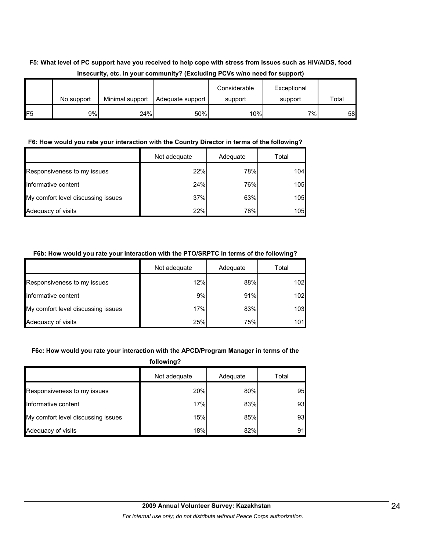## **F5: What level of PC support have you received to help cope with stress from issues such as HIV/AIDS, food insecurity, etc. in your community? (Excluding PCVs w/no need for support)**

|                 | No support | Minimal support | Adequate support | Considerable<br>support | Exceptional<br>support | Total |
|-----------------|------------|-----------------|------------------|-------------------------|------------------------|-------|
| IF <sub>5</sub> | 9%         | 24%             | 50%              | 10%                     | 7%                     | 58    |

### **F6: How would you rate your interaction with the Country Director in terms of the following?**

|                                    | Not adequate | Adequate | Total |
|------------------------------------|--------------|----------|-------|
| Responsiveness to my issues        | 22%          | 78%      | 104   |
| Informative content                | 24%          | 76%      | 105   |
| My comfort level discussing issues | 37%          | 63%      | 105   |
| Adequacy of visits                 | 22%          | 78%      | 105   |

### **F6b: How would you rate your interaction with the PTO/SRPTC in terms of the following?**

|                                    | Not adequate | Adequate | Total |
|------------------------------------|--------------|----------|-------|
| Responsiveness to my issues        | 12%          | 88%      | 102   |
| Informative content                | 9%           | 91%      | 102   |
| My comfort level discussing issues | 17%          | 83%      | 103   |
| Adequacy of visits                 | 25%          | 75%      | 101   |

### **F6c: How would you rate your interaction with the APCD/Program Manager in terms of the**

| following?                         |              |          |       |  |
|------------------------------------|--------------|----------|-------|--|
|                                    | Not adequate | Adequate | Total |  |
| Responsiveness to my issues        | 20%          | 80%      | 95    |  |
| Informative content                | 17%          | 83%      | 93    |  |
| My comfort level discussing issues | 15%          | 85%      | 93    |  |
| Adequacy of visits                 | 18%          | 82%      | 91    |  |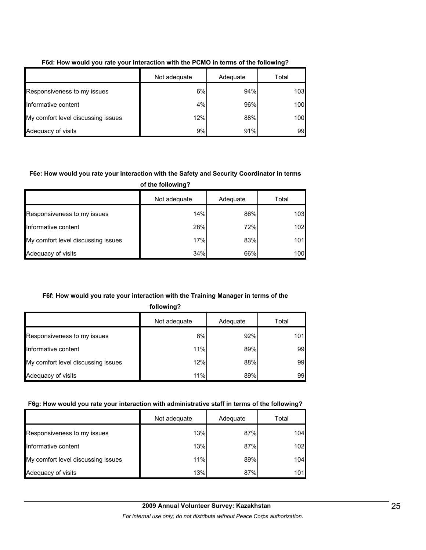|                                    | Not adequate | Adequate | Total |
|------------------------------------|--------------|----------|-------|
| Responsiveness to my issues        | 6%           | 94%      | 103   |
| Informative content                | 4%           | 96%      | 100   |
| My comfort level discussing issues | 12%          | 88%      | 100   |
| Adequacy of visits                 | 9%           | 91%      | 99    |

### **F6d: How would you rate your interaction with the PCMO in terms of the following?**

### **F6e: How would you rate your interaction with the Safety and Security Coordinator in terms**

**of the following?**

|                                    | Not adequate | Adequate | Total |
|------------------------------------|--------------|----------|-------|
| Responsiveness to my issues        | 14%          | 86%      | 103   |
| Informative content                | 28%          | 72%      | 102   |
| My comfort level discussing issues | 17%          | 83%      | 101   |
| Adequacy of visits                 | 34%          | 66%      | 100   |

# **F6f: How would you rate your interaction with the Training Manager in terms of the**

**following?**

|                                    | Not adequate | Adequate | Total |
|------------------------------------|--------------|----------|-------|
| Responsiveness to my issues        | 8%           | 92%      | 101   |
| Informative content                | 11%          | 89%      | 99    |
| My comfort level discussing issues | 12%          | 88%      | 99    |
| Adequacy of visits                 | 11%          | 89%      | 99    |

## **F6g: How would you rate your interaction with administrative staff in terms of the following?**

|                                    | Not adequate | Adequate | Total |
|------------------------------------|--------------|----------|-------|
| Responsiveness to my issues        | 13%          | 87%      | 104   |
| Informative content                | 13%          | 87%      | 102   |
| My comfort level discussing issues | 11%          | 89%      | 104   |
| Adequacy of visits                 | 13%          | 87%      | 101   |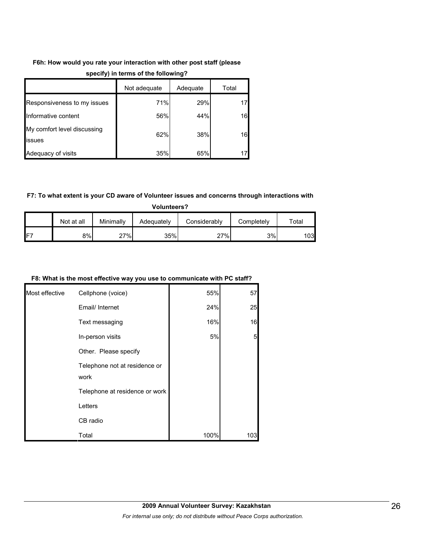# **F6h: How would you rate your interaction with other post staff (please**

|                                       | Not adequate | Adequate | Total |
|---------------------------------------|--------------|----------|-------|
| Responsiveness to my issues           | 71%          | 29%      | 17    |
| Informative content                   | 56%          | 44%      | 16    |
| My comfort level discussing<br>issues | 62%          | 38%      | 16    |
| Adequacy of visits                    | 35%          | 65%      | 17    |

### **specify) in terms of the following?**

## **F7: To what extent is your CD aware of Volunteer issues and concerns through interactions with**

**Volunteers?**

|     | Not at all | Minimally | Adeguatelv | Considerably | Completelv | $\tau$ otal |
|-----|------------|-----------|------------|--------------|------------|-------------|
| IF7 | 8%         | 27%       | 35%        | 27%          | 3%         | 1031        |

### **F8: What is the most effective way you use to communicate with PC staff?**

| Most effective | Cellphone (voice)                     | 55%  | 57  |
|----------------|---------------------------------------|------|-----|
|                | Email/ Internet                       | 24%  | 25  |
|                | Text messaging                        | 16%  | 16  |
|                | In-person visits                      | 5%   | 5   |
|                | Other. Please specify                 |      |     |
|                | Telephone not at residence or<br>work |      |     |
|                | Telephone at residence or work        |      |     |
|                | Letters                               |      |     |
|                | CB radio                              |      |     |
|                | Total                                 | 100% | 103 |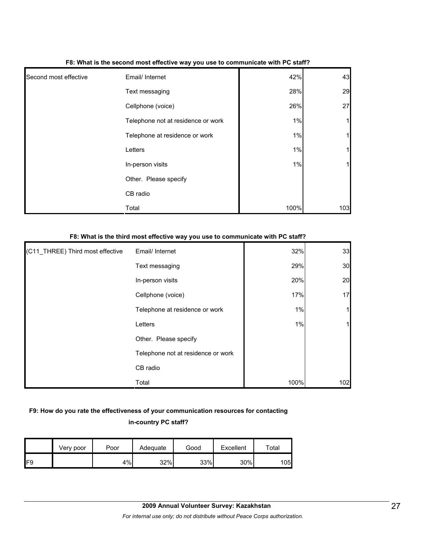|                       | . .                                |       |     |
|-----------------------|------------------------------------|-------|-----|
| Second most effective | Email/ Internet                    | 42%   | 43  |
|                       | Text messaging                     | 28%   | 29  |
|                       | Cellphone (voice)                  | 26%   | 27  |
|                       | Telephone not at residence or work | $1\%$ | 1   |
|                       | Telephone at residence or work     | $1\%$ | 1   |
|                       | Letters                            | 1%    | 1   |
|                       | In-person visits                   | 1%    | 11  |
|                       | Other. Please specify              |       |     |
|                       | CB radio                           |       |     |
|                       | Total                              | 100%  | 103 |

#### **F8: What is the second most effective way you use to communicate with PC staff?**

#### **F8: What is the third most effective way you use to communicate with PC staff?**

| (C11_THREE) Third most effective | Email/ Internet                    | 32%  | 33  |
|----------------------------------|------------------------------------|------|-----|
|                                  | Text messaging                     | 29%  | 30  |
|                                  | In-person visits                   | 20%  | 20  |
|                                  | Cellphone (voice)                  | 17%  | 17  |
|                                  | Telephone at residence or work     | 1%   | 1   |
|                                  | Letters                            | 1%   | 11  |
|                                  | Other. Please specify              |      |     |
|                                  | Telephone not at residence or work |      |     |
|                                  | CB radio                           |      |     |
|                                  | Total                              | 100% | 102 |

# **F9: How do you rate the effectiveness of your communication resources for contacting**

### **in-country PC staff?**

|     | Verv poor | Poor | Adequate | Good | Excellent | $\tau$ otal |
|-----|-----------|------|----------|------|-----------|-------------|
| IF9 |           | 4%   | 32%      | 33%  | 30%       | 105l        |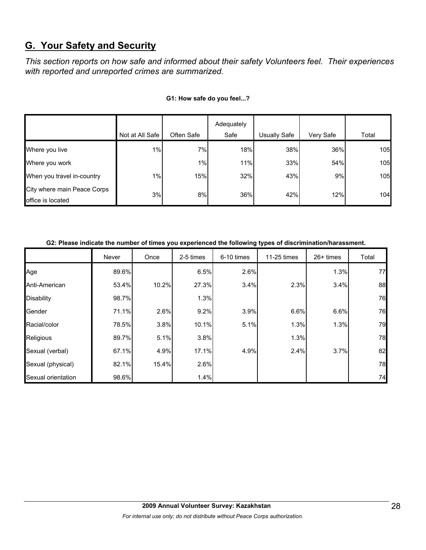# **G. Your Safety and Security**

*This section reports on how safe and informed about their safety Volunteers feel. Their experiences with reported and unreported crimes are summarized.* 

|                                                  | Not at All Safe | Often Safe | Adequately<br>Safe | <b>Usually Safe</b> | Very Safe | Total |
|--------------------------------------------------|-----------------|------------|--------------------|---------------------|-----------|-------|
|                                                  |                 |            |                    |                     |           |       |
| Where you live                                   | 1%              | 7%         | 18%                | 38%                 | 36%       | 105   |
| Where you work                                   |                 | 1%         | 11%                | 33%                 | 54%       | 105   |
| When you travel in-country                       | $1\%$           | 15%        | 32%                | 43%                 | 9%        | 105   |
| City where main Peace Corps<br>office is located | 3%              | 8%         | 36%                | 42%                 | 12%       | 104   |

#### **G1: How safe do you feel...?**

| G2: Please indicate the number of times you experienced the following types of discrimination/harassment. |  |
|-----------------------------------------------------------------------------------------------------------|--|
|                                                                                                           |  |

|                    | Never | Once  | 2-5 times | 6-10 times | 11-25 times | 26+ times | Total |
|--------------------|-------|-------|-----------|------------|-------------|-----------|-------|
| Age                | 89.6% |       | 6.5%      | 2.6%       |             | 1.3%      | 77    |
| Anti-American      | 53.4% | 10.2% | 27.3%     | 3.4%       | 2.3%        | 3.4%      | 88    |
| <b>Disability</b>  | 98.7% |       | 1.3%      |            |             |           | 76    |
| Gender             | 71.1% | 2.6%  | 9.2%      | 3.9%       | 6.6%        | 6.6%      | 76    |
| Racial/color       | 78.5% | 3.8%  | 10.1%     | 5.1%       | 1.3%        | 1.3%      | 79    |
| Religious          | 89.7% | 5.1%  | 3.8%      |            | 1.3%        |           | 78    |
| Sexual (verbal)    | 67.1% | 4.9%  | 17.1%     | 4.9%       | 2.4%        | 3.7%      | 82    |
| Sexual (physical)  | 82.1% | 15.4% | 2.6%      |            |             |           | 78    |
| Sexual orientation | 98.6% |       | 1.4%      |            |             |           | 74    |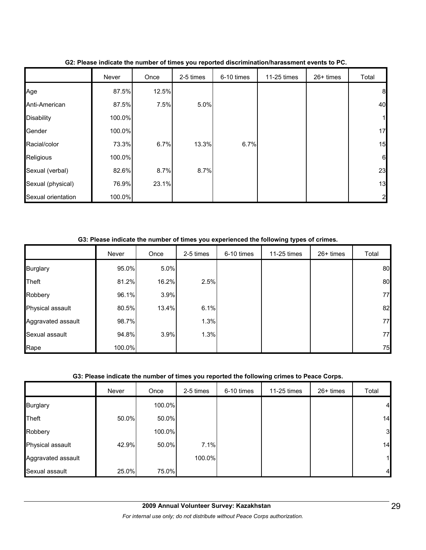|                    | Never  | Once  | 2-5 times | 6-10 times | 11-25 times | 26+ times | Total          |
|--------------------|--------|-------|-----------|------------|-------------|-----------|----------------|
| Age                | 87.5%  | 12.5% |           |            |             |           | 8              |
| Anti-American      | 87.5%  | 7.5%  | 5.0%      |            |             |           | 40             |
| <b>Disability</b>  | 100.0% |       |           |            |             |           | 1              |
| Gender             | 100.0% |       |           |            |             |           | 17             |
| Racial/color       | 73.3%  | 6.7%  | 13.3%     | 6.7%       |             |           | 15             |
| Religious          | 100.0% |       |           |            |             |           | 6              |
| Sexual (verbal)    | 82.6%  | 8.7%  | 8.7%      |            |             |           | 23             |
| Sexual (physical)  | 76.9%  | 23.1% |           |            |             |           | 13             |
| Sexual orientation | 100.0% |       |           |            |             |           | $\overline{2}$ |

**G2: Please indicate the number of times you reported discrimination/harassment events to PC.**

**G3: Please indicate the number of times you experienced the following types of crimes.**

|                    | Never  | Once  | 2-5 times | 6-10 times | 11-25 times | 26+ times | Total |
|--------------------|--------|-------|-----------|------------|-------------|-----------|-------|
| <b>Burglary</b>    | 95.0%  | 5.0%  |           |            |             |           | 80    |
| Theft              | 81.2%  | 16.2% | 2.5%      |            |             |           | 80    |
| Robbery            | 96.1%  | 3.9%  |           |            |             |           | 77    |
| Physical assault   | 80.5%  | 13.4% | 6.1%      |            |             |           | 82    |
| Aggravated assault | 98.7%  |       | 1.3%      |            |             |           | 77    |
| Sexual assault     | 94.8%  | 3.9%  | 1.3%      |            |             |           | 77    |
| Rape               | 100.0% |       |           |            |             |           | 75    |

### **G3: Please indicate the number of times you reported the following crimes to Peace Corps.**

|                    | Never | Once   | 2-5 times | 6-10 times | 11-25 times | 26+ times | Total          |
|--------------------|-------|--------|-----------|------------|-------------|-----------|----------------|
| <b>Burglary</b>    |       | 100.0% |           |            |             |           | $\overline{4}$ |
| Theft              | 50.0% | 50.0%  |           |            |             |           | 14             |
| Robbery            |       | 100.0% |           |            |             |           | 3              |
| Physical assault   | 42.9% | 50.0%  | 7.1%      |            |             |           | 14             |
| Aggravated assault |       |        | 100.0%    |            |             |           | 11             |
| Sexual assault     | 25.0% | 75.0%  |           |            |             |           | $\overline{4}$ |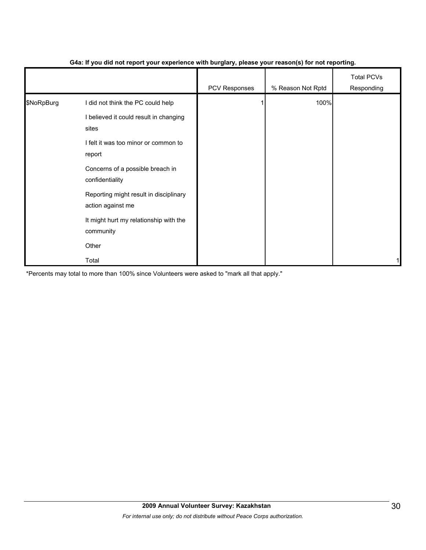|            |                                                             | PCV Responses | % Reason Not Rptd | <b>Total PCVs</b><br>Responding |
|------------|-------------------------------------------------------------|---------------|-------------------|---------------------------------|
| \$NoRpBurg | I did not think the PC could help                           |               | 100%              |                                 |
|            | I believed it could result in changing<br>sites             |               |                   |                                 |
|            | I felt it was too minor or common to<br>report              |               |                   |                                 |
|            | Concerns of a possible breach in<br>confidentiality         |               |                   |                                 |
|            | Reporting might result in disciplinary<br>action against me |               |                   |                                 |
|            | It might hurt my relationship with the<br>community         |               |                   |                                 |
|            | Other                                                       |               |                   |                                 |
|            | Total                                                       |               |                   |                                 |

### **G4a: If you did not report your experience with burglary, please your reason(s) for not reporting.**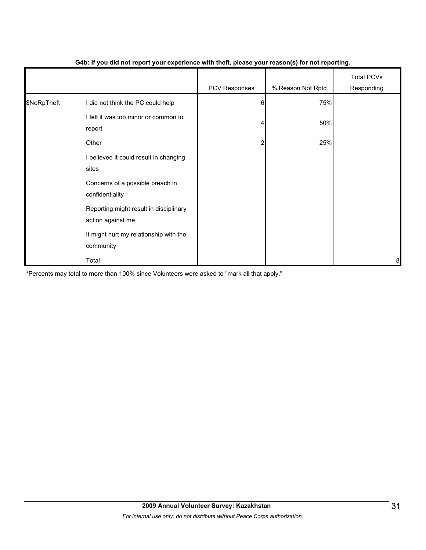|             |                                                             | - 1           | $\mathbf{v}$      |                                 |
|-------------|-------------------------------------------------------------|---------------|-------------------|---------------------------------|
|             |                                                             | PCV Responses | % Reason Not Rptd | <b>Total PCVs</b><br>Responding |
| \$NoRpTheft | I did not think the PC could help                           | 6             | 75%               |                                 |
|             | I felt it was too minor or common to<br>report              |               | 50%               |                                 |
|             | Other                                                       | 2             | 25%               |                                 |
|             | I believed it could result in changing<br>sites             |               |                   |                                 |
|             | Concerns of a possible breach in<br>confidentiality         |               |                   |                                 |
|             | Reporting might result in disciplinary<br>action against me |               |                   |                                 |
|             | It might hurt my relationship with the<br>community         |               |                   |                                 |
|             | Total                                                       |               |                   | 8                               |

#### **G4b: If you did not report your experience with theft, please your reason(s) for not reporting.**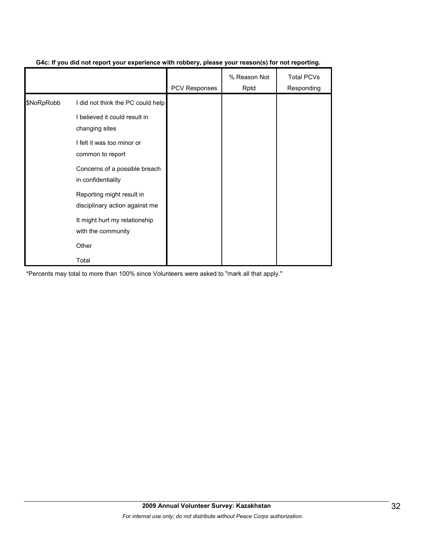|            |                                                             | <b>PCV Responses</b> | % Reason Not<br>Rptd | <b>Total PCVs</b><br>Responding |
|------------|-------------------------------------------------------------|----------------------|----------------------|---------------------------------|
| \$NoRpRobb | I did not think the PC could help                           |                      |                      |                                 |
|            | I believed it could result in<br>changing sites             |                      |                      |                                 |
|            | I felt it was too minor or<br>common to report              |                      |                      |                                 |
|            | Concerns of a possible breach<br>in confidentiality         |                      |                      |                                 |
|            | Reporting might result in<br>disciplinary action against me |                      |                      |                                 |
|            | It might hurt my relationship<br>with the community         |                      |                      |                                 |
|            | Other                                                       |                      |                      |                                 |
|            | Total                                                       |                      |                      |                                 |

#### **G4c: If you did not report your experience with robbery, please your reason(s) for not reporting.**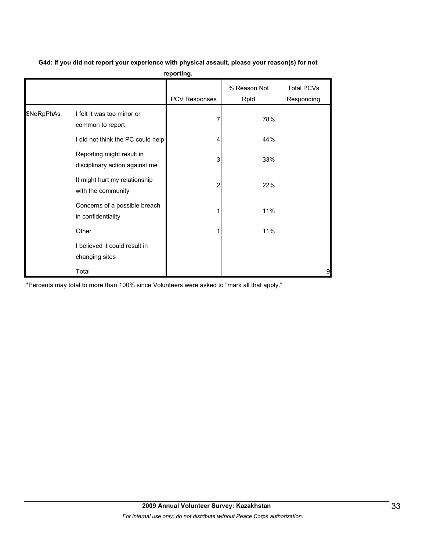|            |                                                             | .             |                      |                                 |
|------------|-------------------------------------------------------------|---------------|----------------------|---------------------------------|
|            |                                                             | PCV Responses | % Reason Not<br>Rptd | <b>Total PCVs</b><br>Responding |
| \$NoRpPhAs | I felt it was too minor or<br>common to report              |               | 78%                  |                                 |
|            | I did not think the PC could help                           |               | 44%                  |                                 |
|            | Reporting might result in<br>disciplinary action against me | 3             | 33%                  |                                 |
|            | It might hurt my relationship<br>with the community         | 2             | 22%                  |                                 |
|            | Concerns of a possible breach<br>in confidentiality         |               | 11%                  |                                 |
|            | Other                                                       |               | 11%                  |                                 |
|            | I believed it could result in<br>changing sites             |               |                      |                                 |
|            | Total                                                       |               |                      | 9                               |

**G4d: If you did not report your experience with physical assault, please your reason(s) for not reporting.**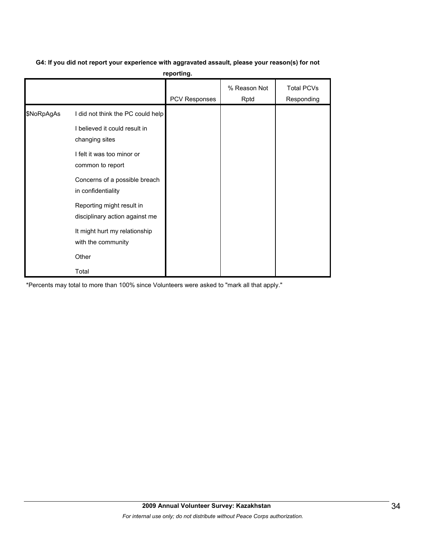# **G4: If you did not report your experience with aggravated assault, please your reason(s) for not**

**reporting.**

|            |                                                                    | PCV Responses | % Reason Not<br>Rptd | <b>Total PCVs</b><br>Responding |
|------------|--------------------------------------------------------------------|---------------|----------------------|---------------------------------|
| \$NoRpAgAs | I did not think the PC could help<br>I believed it could result in |               |                      |                                 |
|            | changing sites<br>I felt it was too minor or<br>common to report   |               |                      |                                 |
|            | Concerns of a possible breach<br>in confidentiality                |               |                      |                                 |
|            | Reporting might result in<br>disciplinary action against me        |               |                      |                                 |
|            | It might hurt my relationship<br>with the community                |               |                      |                                 |
|            | Other                                                              |               |                      |                                 |
|            | Total                                                              |               |                      |                                 |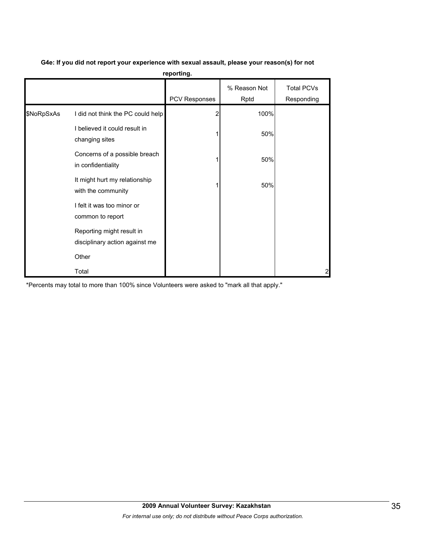|            | reporting.                                                  |               |                      |                                 |  |  |  |  |
|------------|-------------------------------------------------------------|---------------|----------------------|---------------------------------|--|--|--|--|
|            |                                                             | PCV Responses | % Reason Not<br>Rptd | <b>Total PCVs</b><br>Responding |  |  |  |  |
| \$NoRpSxAs | I did not think the PC could help                           |               | 100%                 |                                 |  |  |  |  |
|            | I believed it could result in<br>changing sites             |               | 50%                  |                                 |  |  |  |  |
|            | Concerns of a possible breach<br>in confidentiality         |               | 50%                  |                                 |  |  |  |  |
|            | It might hurt my relationship<br>with the community         |               | 50%                  |                                 |  |  |  |  |
|            | I felt it was too minor or<br>common to report              |               |                      |                                 |  |  |  |  |
|            | Reporting might result in<br>disciplinary action against me |               |                      |                                 |  |  |  |  |
|            | Other                                                       |               |                      |                                 |  |  |  |  |
|            | Total                                                       |               |                      | $\overline{a}$                  |  |  |  |  |

# **G4e: If you did not report your experience with sexual assault, please your reason(s) for not**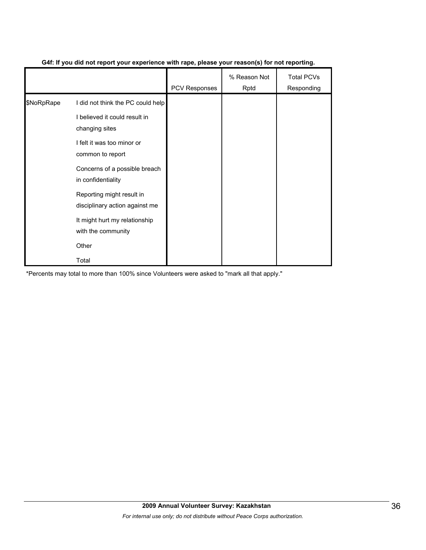|            |                                                             | <b>PCV Responses</b> | % Reason Not<br>Rptd | <b>Total PCVs</b><br>Responding |
|------------|-------------------------------------------------------------|----------------------|----------------------|---------------------------------|
| \$NoRpRape | I did not think the PC could help                           |                      |                      |                                 |
|            | I believed it could result in<br>changing sites             |                      |                      |                                 |
|            | I felt it was too minor or<br>common to report              |                      |                      |                                 |
|            | Concerns of a possible breach<br>in confidentiality         |                      |                      |                                 |
|            | Reporting might result in<br>disciplinary action against me |                      |                      |                                 |
|            | It might hurt my relationship<br>with the community         |                      |                      |                                 |
|            | Other                                                       |                      |                      |                                 |
|            | Total                                                       |                      |                      |                                 |

### **G4f: If you did not report your experience with rape, please your reason(s) for not reporting.**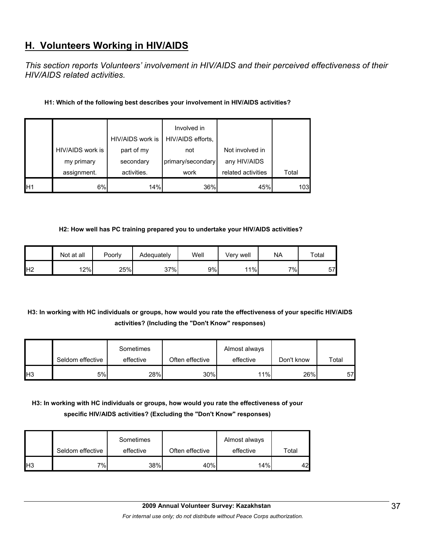# **H. Volunteers Working in HIV/AIDS**

*This section reports Volunteers' involvement in HIV/AIDS and their perceived effectiveness of their HIV/AIDS related activities.* 

### **H1: Which of the following best describes your involvement in HIV/AIDS activities?**

|                 |                  | HIV/AIDS work is | Involved in<br>HIV/AIDS efforts, |                    |       |
|-----------------|------------------|------------------|----------------------------------|--------------------|-------|
|                 | HIV/AIDS work is | part of my       | not                              | Not involved in    |       |
|                 | my primary       | secondary        | primary/secondary                | any HIV/AIDS       |       |
|                 | assignment.      | activities.      | work                             | related activities | Total |
| IH <sub>1</sub> | 6%               | 14%              | 36%                              | 45%                | 103   |

#### **H2: How well has PC training prepared you to undertake your HIV/AIDS activities?**

|                | Not at all | Poorly | Adequately | Well | Verv well | <b>NA</b> | Total |
|----------------|------------|--------|------------|------|-----------|-----------|-------|
| H <sub>2</sub> | 12%        | 25%    | 37%        | 9%   | 11%       | 7%        | 57    |

## **H3: In working with HC individuals or groups, how would you rate the effectiveness of your specific HIV/AIDS activities? (Including the "Don't Know" responses)**

|     | Seldom effective | Sometimes<br>effective | Often effective | Almost always<br>effective | Don't know | Total |
|-----|------------------|------------------------|-----------------|----------------------------|------------|-------|
| IH3 | 5%               | 28%                    | 30%             | 11%                        | 26%        | 57'   |

## **H3: In working with HC individuals or groups, how would you rate the effectiveness of your specific HIV/AIDS activities? (Excluding the "Don't Know" responses)**

|     | Seldom effective | Sometimes<br>effective | Often effective | Almost always<br>effective | Total |
|-----|------------------|------------------------|-----------------|----------------------------|-------|
| lН3 | 7%               | 38%                    | 40%             | 14%                        | 42    |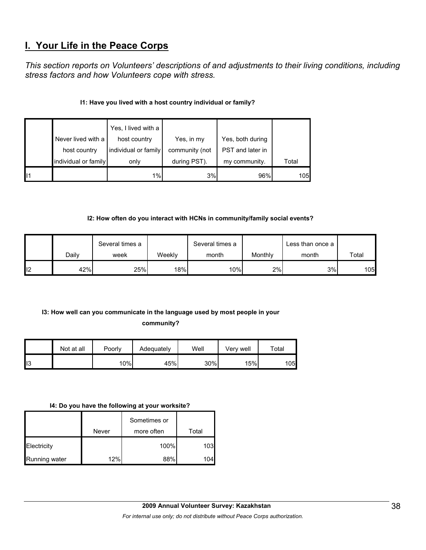# **I. Your Life in the Peace Corps**

*This section reports on Volunteers' descriptions of and adjustments to their living conditions, including stress factors and how Volunteers cope with stress.* 

### **I1: Have you lived with a host country individual or family?**

|    |                      | Yes, I lived with a  |                |                  |       |
|----|----------------------|----------------------|----------------|------------------|-------|
|    | Never lived with a   | host country         | Yes, in my     | Yes, both during |       |
|    | host country         | individual or family | community (not | PST and later in |       |
|    | individual or family | only                 | during PST).   | my community.    | Total |
| 11 |                      | 1%                   | 3%             | 96%              | 105   |

### **I2: How often do you interact with HCNs in community/family social events?**

|     |       | Several times a |        | Several times a |         | Less than once a |             |
|-----|-------|-----------------|--------|-----------------|---------|------------------|-------------|
|     | Daily | week            | Weeklv | month           | Monthly | month            | $\tau$ otal |
| ll2 | 42%   | 25%             | 18%    | 10%             | 2%      | 3%               | 105         |

# **I3: How well can you communicate in the language used by most people in your**

### **community?**

|     | Not at all | Poorly | Adequately | Well | Very well | Total |
|-----|------------|--------|------------|------|-----------|-------|
| ll3 |            | 10%    | 45%        | 30%  | 15%       | 105   |

### **I4: Do you have the following at your worksite?**

|               |       | Sometimes or |       |
|---------------|-------|--------------|-------|
|               | Never | more often   | Total |
| Electricity   |       | 100%         | 103   |
| Running water | 12%   | 88%          | 104   |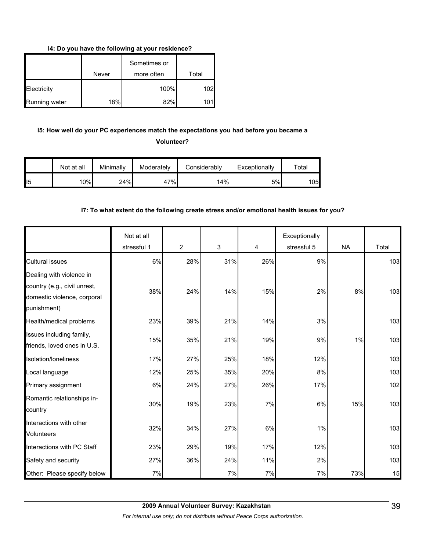**I4: Do you have the following at your residence?**

|               | Never | Sometimes or<br>more often | Total |
|---------------|-------|----------------------------|-------|
| Electricity   |       | 100%                       | 102   |
| Running water | 18%   | 82%                        |       |

## **I5: How well do your PC experiences match the expectations you had before you became a Volunteer?**

|                 | Not at all    | Minimally | Moderately | Considerably | Exceptionally | $\tau$ otal |
|-----------------|---------------|-----------|------------|--------------|---------------|-------------|
| II <sub>5</sub> | $^{\circ}0\%$ | 24%       | 47%        | 14%          | 5%            | 1051        |

### **I7: To what extent do the following create stress and/or emotional health issues for you?**

|                                                                                                        | Not at all<br>stressful 1 | $\overline{2}$ | 3   | 4   | Exceptionally<br>stressful 5 | <b>NA</b> | Total |
|--------------------------------------------------------------------------------------------------------|---------------------------|----------------|-----|-----|------------------------------|-----------|-------|
| <b>Cultural issues</b>                                                                                 | 6%                        | 28%            | 31% | 26% | 9%                           |           | 103   |
| Dealing with violence in<br>country (e.g., civil unrest,<br>domestic violence, corporal<br>punishment) | 38%                       | 24%            | 14% | 15% | 2%                           | 8%        | 103   |
| Health/medical problems                                                                                | 23%                       | 39%            | 21% | 14% | 3%                           |           | 103   |
| Issues including family,<br>friends, loved ones in U.S.                                                | 15%                       | 35%            | 21% | 19% | 9%                           | 1%        | 103   |
| Isolation/loneliness                                                                                   | 17%                       | 27%            | 25% | 18% | 12%                          |           | 103   |
| Local language                                                                                         | 12%                       | 25%            | 35% | 20% | 8%                           |           | 103   |
| Primary assignment                                                                                     | 6%                        | 24%            | 27% | 26% | 17%                          |           | 102   |
| Romantic relationships in-<br>country                                                                  | 30%                       | 19%            | 23% | 7%  | 6%                           | 15%       | 103   |
| Interactions with other<br><b>Volunteers</b>                                                           | 32%                       | 34%            | 27% | 6%  | 1%                           |           | 103   |
| Interactions with PC Staff                                                                             | 23%                       | 29%            | 19% | 17% | 12%                          |           | 103   |
| Safety and security                                                                                    | 27%                       | 36%            | 24% | 11% | 2%                           |           | 103   |
| Other: Please specify below                                                                            | 7%                        |                | 7%  | 7%  | 7%                           | 73%       | 15    |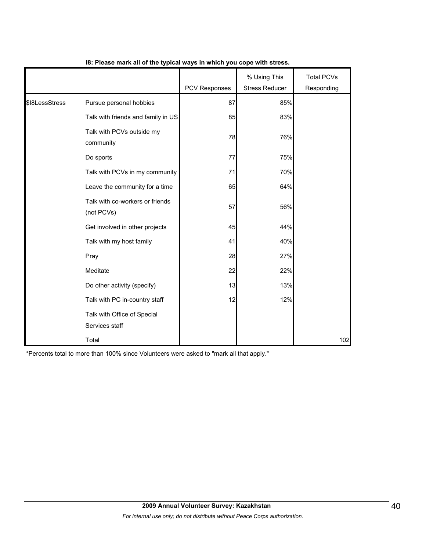|                |                                               | PCV Responses | % Using This<br><b>Stress Reducer</b> | <b>Total PCVs</b><br>Responding |
|----------------|-----------------------------------------------|---------------|---------------------------------------|---------------------------------|
| \$I8LessStress | Pursue personal hobbies                       | 87            | 85%                                   |                                 |
|                | Talk with friends and family in US            | 85            | 83%                                   |                                 |
|                | Talk with PCVs outside my<br>community        | 78            | 76%                                   |                                 |
|                | Do sports                                     | 77            | 75%                                   |                                 |
|                | Talk with PCVs in my community                | 71            | 70%                                   |                                 |
|                | Leave the community for a time                | 65            | 64%                                   |                                 |
|                | Talk with co-workers or friends<br>(not PCVs) | 57            | 56%                                   |                                 |
|                | Get involved in other projects                | 45            | 44%                                   |                                 |
|                | Talk with my host family                      | 41            | 40%                                   |                                 |
|                | Pray                                          | 28            | 27%                                   |                                 |
|                | Meditate                                      | 22            | 22%                                   |                                 |
|                | Do other activity (specify)                   | 13            | 13%                                   |                                 |
|                | Talk with PC in-country staff                 | 12            | 12%                                   |                                 |
|                | Talk with Office of Special<br>Services staff |               |                                       |                                 |
|                | Total                                         |               |                                       | 102                             |

### **I8: Please mark all of the typical ways in which you cope with stress.**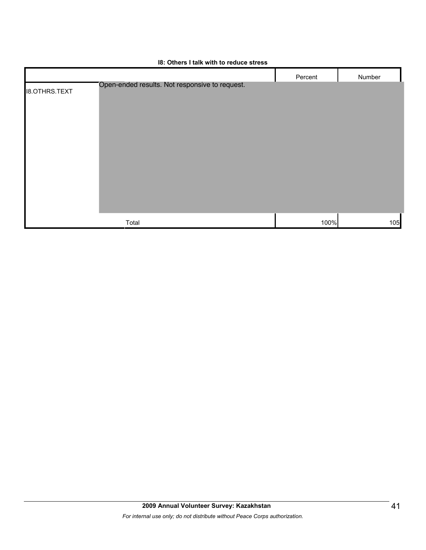

#### **I8: Others I talk with to reduce stress**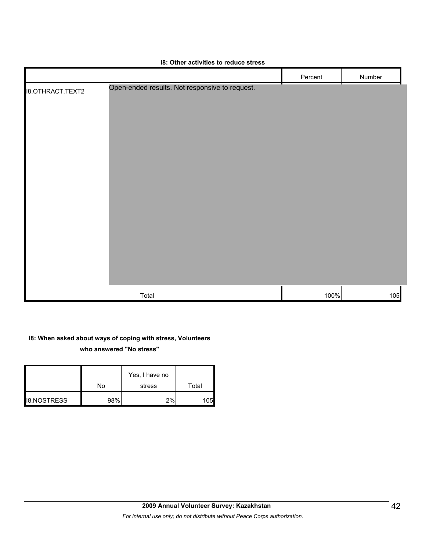|                         | <b>10. Other activities to reduce stress</b>   |         |        |
|-------------------------|------------------------------------------------|---------|--------|
|                         |                                                | Percent | Number |
| <b>I8.OTHRACT.TEXT2</b> | Open-ended results. Not responsive to request. |         |        |
|                         | Total                                          | 100%    | 105    |

### **I8: Other activities to reduce stress**

## **I8: When asked about ways of coping with stress, Volunteers who answered "No stress"**

|                    |     | Yes, I have no |                  |
|--------------------|-----|----------------|------------------|
|                    | No  | stress         | Total            |
| <b>I8.NOSTRESS</b> | 98% | 2%             | 105 <sub>l</sub> |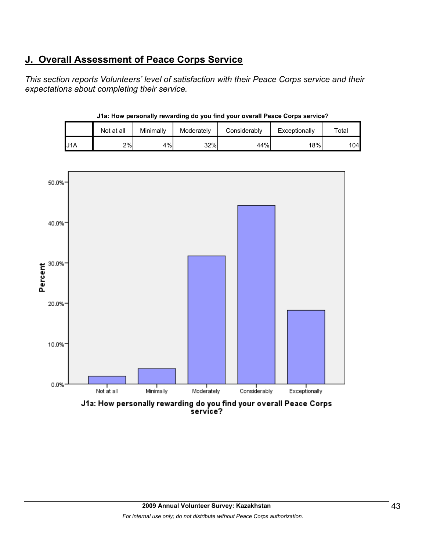# **J. Overall Assessment of Peace Corps Service**

*This section reports Volunteers' level of satisfaction with their Peace Corps service and their expectations about completing their service.* 

|     | Not at all | Minimally | Moderately | Considerably | Exceptionally    | $\tau$ otal |
|-----|------------|-----------|------------|--------------|------------------|-------------|
| U1A | 2%         | 4%        | 32%        | 44%          | 18% <sub>1</sub> | 104         |

**J1a: How personally rewarding do you find your overall Peace Corps service?**



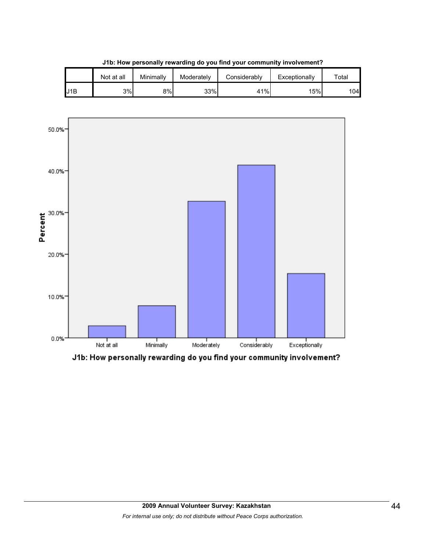|     | Not at all | Minimallv | Moderately | Considerablv | Exceptionally | $\tau$ otal |
|-----|------------|-----------|------------|--------------|---------------|-------------|
| J1B | 3%         | 8%        | 33%        | 41%          | '5%           | 104         |

**J1b: How personally rewarding do you find your community involvement?**



J1b: How personally rewarding do you find your community involvement?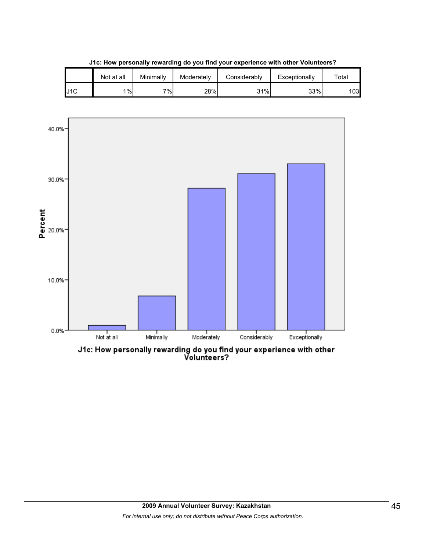|     | Not at all | Minimallv | Moderately | Considerably | Exceptionally | $\tau$ otal |
|-----|------------|-----------|------------|--------------|---------------|-------------|
| J1C | 1%         | 7%        | 28%        | 31%          | 33%           | 1031        |

**J1c: How personally rewarding do you find your experience with other Volunteers?**



J1c: How personally rewarding do you find your experience with other<br>Volunteers?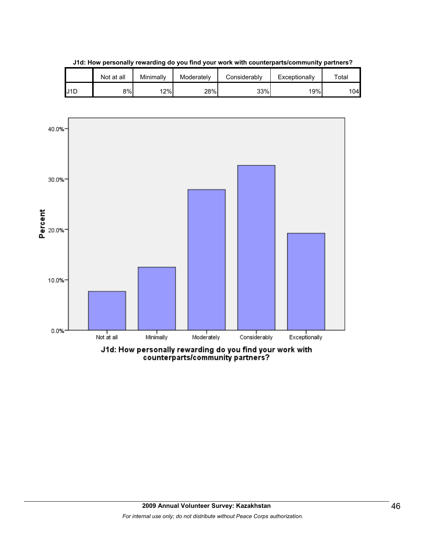

**J1d: How personally rewarding do you find your work with counterparts/community partners?**



counterparts/community partners?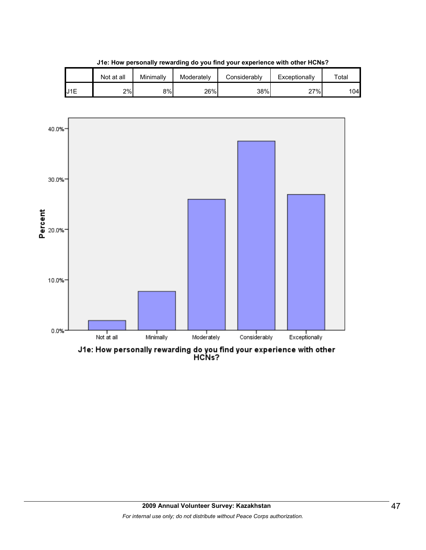|                 | Not at all | Minimallv | Moderately | Considerably | Exceptionally | $\tau$ otal |
|-----------------|------------|-----------|------------|--------------|---------------|-------------|
| J <sub>1E</sub> | 2%         | 8%l       | 26%        | 38%          | 27%           | 104         |

**J1e: How personally rewarding do you find your experience with other HCNs?**



J1e: How personally rewarding do you find your experience with other<br>HCNs?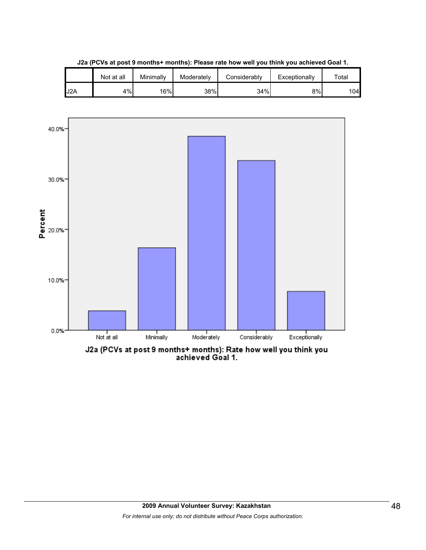|     | Not at all | Minimallv | Moderately | Considerablv | Exceptionally | $\tau$ otal |
|-----|------------|-----------|------------|--------------|---------------|-------------|
| J2A | 4%         | 16%       | 38%        | 34%          | 8%            | 104         |

**J2a (PCVs at post 9 months+ months): Please rate how well you think you achieved Goal 1.**



J2a (PCVs at post 9 months+ months): Rate how well you think you<br>achieved Goal 1.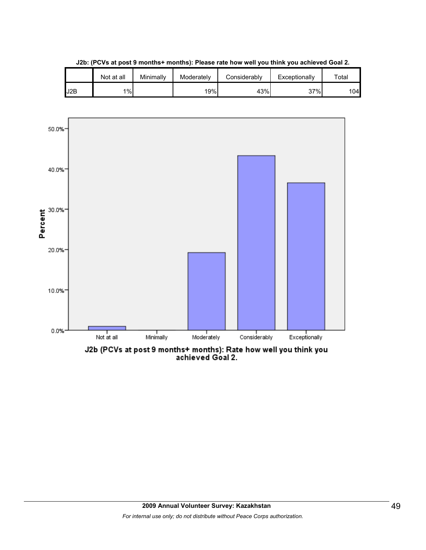|     | Not at all | Minimally | Moderately | Considerably | Exceptionally | $\tau$ otal |
|-----|------------|-----------|------------|--------------|---------------|-------------|
| J2B | 1%         |           | 19%        | 43%          | 37%           | 104         |

**J2b: (PCVs at post 9 months+ months): Please rate how well you think you achieved Goal 2.**



J2b (PCVs at post 9 months+ months): Rate how well you think you<br>achieved Goal 2.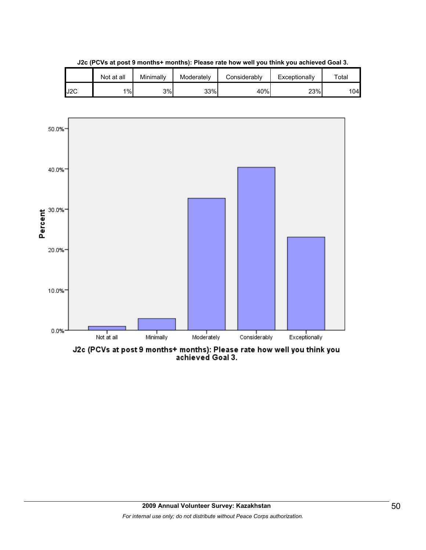

**J2c (PCVs at post 9 months+ months): Please rate how well you think you achieved Goal 3.**



J2c (PCVs at post 9 months+ months): Please rate how well you think you<br>achieved Goal 3.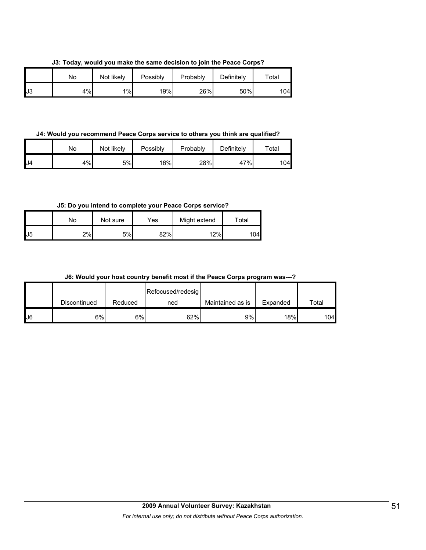**J3: Today, would you make the same decision to join the Peace Corps?**

|    | No | Not likely | Possibly | Probably | Definitely | Total |
|----|----|------------|----------|----------|------------|-------|
| J3 | 4% | 1%         | 19%      | 26%      | 50%        | 104   |

**J4: Would you recommend Peace Corps service to others you think are qualified?**

|     | No | Not likely | Possibly | Probably | Definitely | $\tau$ otal |
|-----|----|------------|----------|----------|------------|-------------|
| IJ4 | 4% | 5%         | 16%      | 28%      | 47%        | 104         |

**J5: Do you intend to complete your Peace Corps service?**

|    | Nο | Not sure | Yes | Might extend | $\tau$ otal |
|----|----|----------|-----|--------------|-------------|
| J5 | 2% | 5%       | 82% | 12%          | 04          |

**J6: Would your host country benefit most if the Peace Corps program was---?**

|     |              |         | Refocused/redesig |                  |          |       |
|-----|--------------|---------|-------------------|------------------|----------|-------|
|     | Discontinued | Reduced | ned               | Maintained as is | Expanded | Total |
| IJ6 | 6%l          | 6%      | 62%               | 9%               | 18%      | 104   |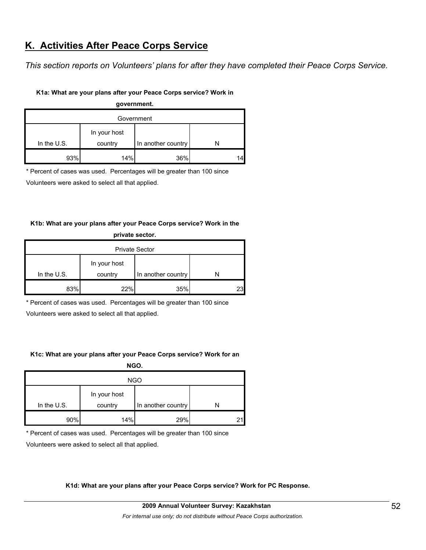# **K. Activities After Peace Corps Service**

*This section reports on Volunteers' plans for after they have completed their Peace Corps Service.* 

#### **K1a: What are your plans after your Peace Corps service? Work in**

# **government.** Government In the U.S. In your host country In another country N 93% 14% 36% 14

\* Percent of cases was used. Percentages will be greater than 100 since

Volunteers were asked to select all that applied.

#### **K1b: What are your plans after your Peace Corps service? Work in the private sector.**

| <b>PHAGG SECIOL</b>   |              |                    |    |  |  |  |
|-----------------------|--------------|--------------------|----|--|--|--|
| <b>Private Sector</b> |              |                    |    |  |  |  |
| In the $U.S.$         | In your host |                    |    |  |  |  |
|                       | country      | In another country |    |  |  |  |
| 83%                   | 22%          | 35%                | 23 |  |  |  |

\* Percent of cases was used. Percentages will be greater than 100 since

Volunteers were asked to select all that applied.

#### **K1c: What are your plans after your Peace Corps service? Work for an**

**NGO.**

| <b>NGO</b>  |                         |                    |    |  |  |
|-------------|-------------------------|--------------------|----|--|--|
| In the U.S. | In your host<br>country | In another country |    |  |  |
| 90%         | 14%                     | 29%                | 21 |  |  |

\* Percent of cases was used. Percentages will be greater than 100 since

Volunteers were asked to select all that applied.

**K1d: What are your plans after your Peace Corps service? Work for PC Response.**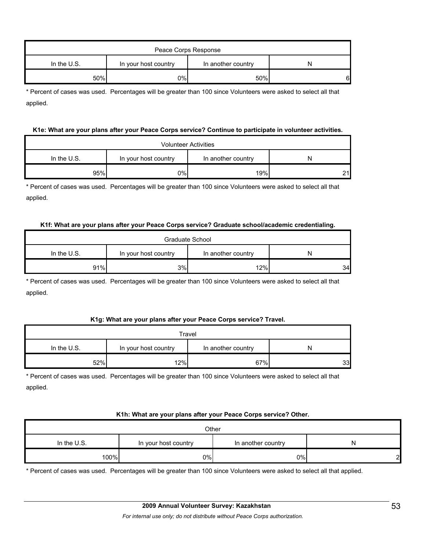| Peace Corps Response |                      |                    |   |  |  |
|----------------------|----------------------|--------------------|---|--|--|
| In the U.S.          | In your host country | In another country | N |  |  |
| 50%                  | 0%l                  | 50%                | 6 |  |  |

\* Percent of cases was used. Percentages will be greater than 100 since Volunteers were asked to select all that applied.

#### **K1e: What are your plans after your Peace Corps service? Continue to participate in volunteer activities.**

| <b>Volunteer Activities</b> |                      |                    |    |  |  |
|-----------------------------|----------------------|--------------------|----|--|--|
| In the $U.S.$               | In your host country | In another country | N  |  |  |
| 95%                         | 0%                   | 19%                | 21 |  |  |

\* Percent of cases was used. Percentages will be greater than 100 since Volunteers were asked to select all that applied.

#### **K1f: What are your plans after your Peace Corps service? Graduate school/academic credentialing.**

| Graduate School |                      |                    |    |  |  |
|-----------------|----------------------|--------------------|----|--|--|
| In the U.S.     | In your host country | In another country |    |  |  |
| 91%             | 3%                   | 12%                | 34 |  |  |

\* Percent of cases was used. Percentages will be greater than 100 since Volunteers were asked to select all that applied.

#### **K1g: What are your plans after your Peace Corps service? Travel.**

| Travel        |                      |                    |    |  |  |
|---------------|----------------------|--------------------|----|--|--|
| In the $U.S.$ | In your host country | In another country | N  |  |  |
| 52%           | 12%                  | 67%                | 33 |  |  |

\* Percent of cases was used. Percentages will be greater than 100 since Volunteers were asked to select all that applied.

#### **K1h: What are your plans after your Peace Corps service? Other.**

| Other       |                      |                    |   |  |
|-------------|----------------------|--------------------|---|--|
| In the U.S. | In your host country | In another country | N |  |
| 100%        | 0%                   | 0%                 | ് |  |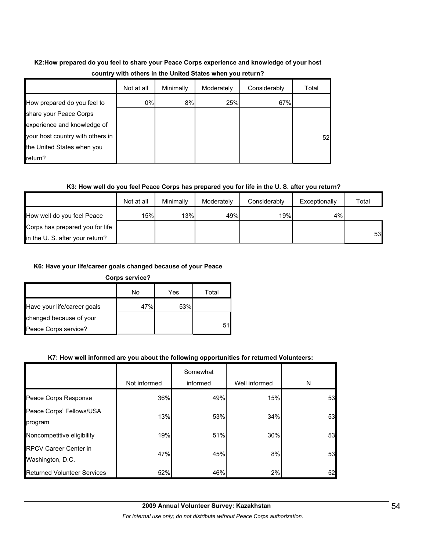## **K2:How prepared do you feel to share your Peace Corps experience and knowledge of your host country with others in the United States when you return?**

|                                  | Not at all | Minimally | Moderately | Considerably | Total |
|----------------------------------|------------|-----------|------------|--------------|-------|
| How prepared do you feel to      | 0%         | 8%        | 25%        | 67%          |       |
| share your Peace Corps           |            |           |            |              |       |
| experience and knowledge of      |            |           |            |              |       |
| your host country with others in |            |           |            |              | 52    |
| the United States when you       |            |           |            |              |       |
| return?                          |            |           |            |              |       |

### **K3: How well do you feel Peace Corps has prepared you for life in the U. S. after you return?**

|                                 | Not at all | Minimally | Moderately | Considerably | Exceptionally | Total |
|---------------------------------|------------|-----------|------------|--------------|---------------|-------|
| How well do you feel Peace      | 15%        | 13%       | 49%        | 19%          | 4%l           |       |
| Corps has prepared you for life |            |           |            |              |               |       |
| in the U. S. after your return? |            |           |            |              |               | 53    |

### **K6: Have your life/career goals changed because of your Peace**

**Corps service?**

|                             | No  | Yes | Total |
|-----------------------------|-----|-----|-------|
| Have your life/career goals | 47% | 53% |       |
| changed because of your     |     |     |       |
| Peace Corps service?        |     |     | 51    |

### **K7: How well informed are you about the following opportunities for returned Volunteers:**

|                                                  | Not informed | Somewhat<br>informed | Well informed | N  |
|--------------------------------------------------|--------------|----------------------|---------------|----|
| Peace Corps Response                             | 36%          | 49%                  | 15%           | 53 |
| Peace Corps' Fellows/USA<br>program              | 13%          | 53%                  | 34%           | 53 |
| Noncompetitive eligibility                       | 19%          | 51%                  | 30%           | 53 |
| <b>RPCV Career Center in</b><br>Washington, D.C. | 47%          | 45%                  | 8%            | 53 |
| <b>Returned Volunteer Services</b>               | 52%          | 46%                  | 2%            | 52 |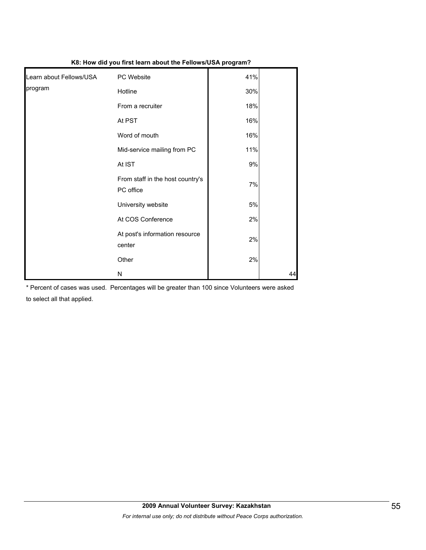|                         | w. How ard you mot loarn about the Follows ook program. |       |    |
|-------------------------|---------------------------------------------------------|-------|----|
| Learn about Fellows/USA | PC Website                                              | 41%   |    |
| program                 | Hotline                                                 | 30%   |    |
|                         | From a recruiter                                        | 18%   |    |
|                         | At PST                                                  | 16%   |    |
|                         | Word of mouth                                           | 16%   |    |
|                         | Mid-service mailing from PC                             | 11%   |    |
|                         | At IST                                                  | $9\%$ |    |
|                         | From staff in the host country's<br>PC office           | 7%    |    |
|                         | University website                                      | 5%    |    |
|                         | At COS Conference                                       | 2%    |    |
|                         | At post's information resource<br>center                | 2%    |    |
|                         | Other                                                   | 2%    |    |
|                         | N                                                       |       | 44 |

**K8: How did you first learn about the Fellows/USA program?**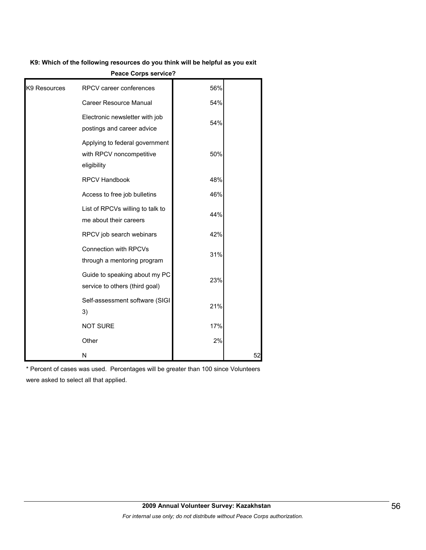#### **K9: Which of the following resources do you think will be helpful as you exit**

|              | <b>CALE ON NO SEI VILE:</b>                                               |     |    |
|--------------|---------------------------------------------------------------------------|-----|----|
| K9 Resources | RPCV career conferences                                                   | 56% |    |
|              | Career Resource Manual                                                    | 54% |    |
|              | Electronic newsletter with job<br>postings and career advice              | 54% |    |
|              | Applying to federal government<br>with RPCV noncompetitive<br>eligibility | 50% |    |
|              | RPCV Handbook                                                             | 48% |    |
|              | Access to free job bulletins                                              | 46% |    |
|              | List of RPCVs willing to talk to<br>me about their careers                | 44% |    |
|              | RPCV job search webinars                                                  | 42% |    |
|              | Connection with RPCVs<br>through a mentoring program                      | 31% |    |
|              | Guide to speaking about my PC<br>service to others (third goal)           | 23% |    |
|              | Self-assessment software (SIGI<br>3)                                      | 21% |    |
|              | <b>NOT SURE</b>                                                           | 17% |    |
|              | Other                                                                     | 2%  |    |
|              | N                                                                         |     | 52 |

**Peace Corps service?**